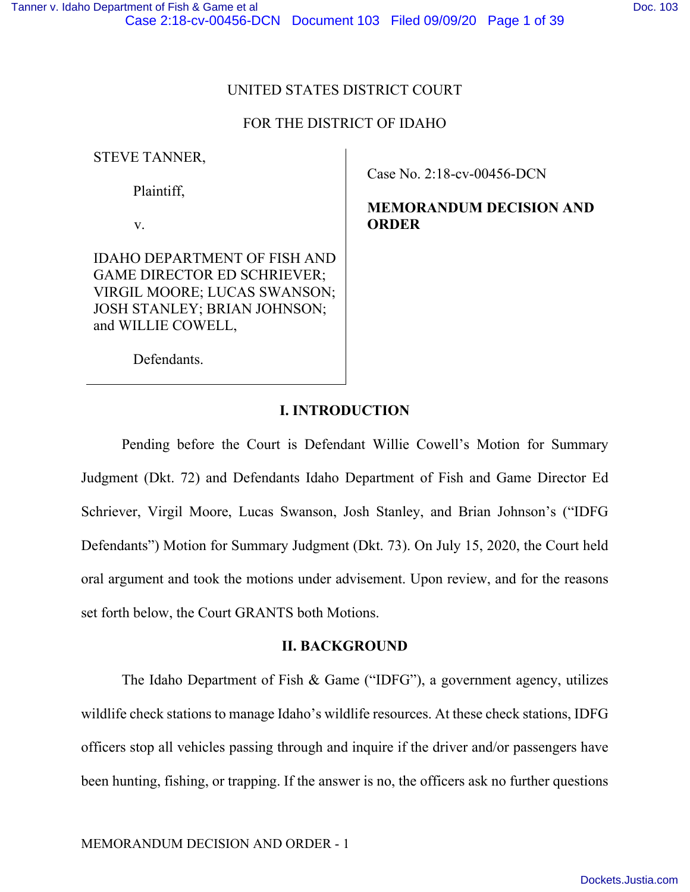# UNITED STATES DISTRICT COURT

# FOR THE DISTRICT OF IDAHO

STEVE TANNER,

Plaintiff,

v.

IDAHO DEPARTMENT OF FISH AND GAME DIRECTOR ED SCHRIEVER; VIRGIL MOORE; LUCAS SWANSON; JOSH STANLEY; BRIAN JOHNSON; and WILLIE COWELL,

Case No. 2:18-cv-00456-DCN

**MEMORANDUM DECISION AND ORDER** 

Defendants.

# **I. INTRODUCTION**

Pending before the Court is Defendant Willie Cowell's Motion for Summary Judgment (Dkt. 72) and Defendants Idaho Department of Fish and Game Director Ed Schriever, Virgil Moore, Lucas Swanson, Josh Stanley, and Brian Johnson's ("IDFG Defendants") Motion for Summary Judgment (Dkt. 73). On July 15, 2020, the Court held oral argument and took the motions under advisement. Upon review, and for the reasons set forth below, the Court GRANTS both Motions.

# **II. BACKGROUND**

The Idaho Department of Fish & Game ("IDFG"), a government agency, utilizes wildlife check stations to manage Idaho's wildlife resources. At these check stations, IDFG officers stop all vehicles passing through and inquire if the driver and/or passengers have been hunting, fishing, or trapping. If the answer is no, the officers ask no further questions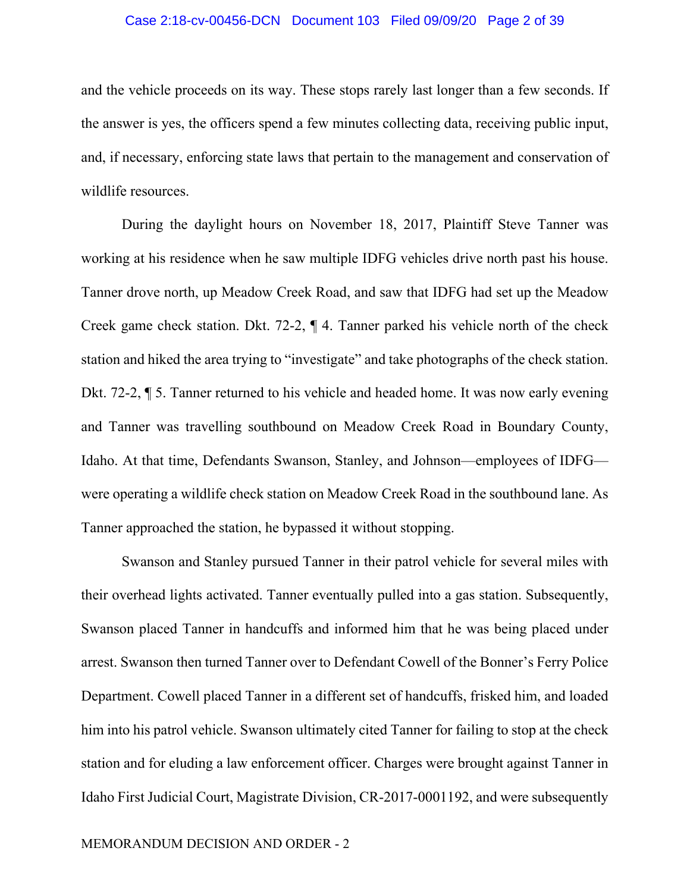## Case 2:18-cv-00456-DCN Document 103 Filed 09/09/20 Page 2 of 39

and the vehicle proceeds on its way. These stops rarely last longer than a few seconds. If the answer is yes, the officers spend a few minutes collecting data, receiving public input, and, if necessary, enforcing state laws that pertain to the management and conservation of wildlife resources.

During the daylight hours on November 18, 2017, Plaintiff Steve Tanner was working at his residence when he saw multiple IDFG vehicles drive north past his house. Tanner drove north, up Meadow Creek Road, and saw that IDFG had set up the Meadow Creek game check station. Dkt. 72-2, ¶ 4. Tanner parked his vehicle north of the check station and hiked the area trying to "investigate" and take photographs of the check station. Dkt. 72-2, ¶ 5. Tanner returned to his vehicle and headed home. It was now early evening and Tanner was travelling southbound on Meadow Creek Road in Boundary County, Idaho. At that time, Defendants Swanson, Stanley, and Johnson—employees of IDFG were operating a wildlife check station on Meadow Creek Road in the southbound lane. As Tanner approached the station, he bypassed it without stopping.

Swanson and Stanley pursued Tanner in their patrol vehicle for several miles with their overhead lights activated. Tanner eventually pulled into a gas station. Subsequently, Swanson placed Tanner in handcuffs and informed him that he was being placed under arrest. Swanson then turned Tanner over to Defendant Cowell of the Bonner's Ferry Police Department. Cowell placed Tanner in a different set of handcuffs, frisked him, and loaded him into his patrol vehicle. Swanson ultimately cited Tanner for failing to stop at the check station and for eluding a law enforcement officer. Charges were brought against Tanner in Idaho First Judicial Court, Magistrate Division, CR-2017-0001192, and were subsequently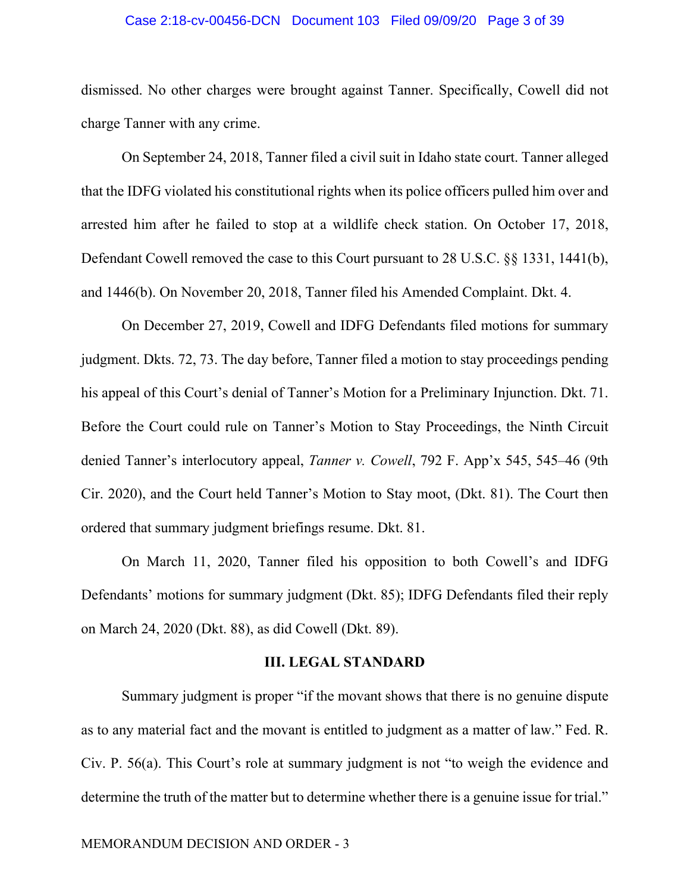## Case 2:18-cv-00456-DCN Document 103 Filed 09/09/20 Page 3 of 39

dismissed. No other charges were brought against Tanner. Specifically, Cowell did not charge Tanner with any crime.

On September 24, 2018, Tanner filed a civil suit in Idaho state court. Tanner alleged that the IDFG violated his constitutional rights when its police officers pulled him over and arrested him after he failed to stop at a wildlife check station. On October 17, 2018, Defendant Cowell removed the case to this Court pursuant to 28 U.S.C. §§ 1331, 1441(b), and 1446(b). On November 20, 2018, Tanner filed his Amended Complaint. Dkt. 4.

On December 27, 2019, Cowell and IDFG Defendants filed motions for summary judgment. Dkts. 72, 73. The day before, Tanner filed a motion to stay proceedings pending his appeal of this Court's denial of Tanner's Motion for a Preliminary Injunction. Dkt. 71. Before the Court could rule on Tanner's Motion to Stay Proceedings, the Ninth Circuit denied Tanner's interlocutory appeal, *Tanner v. Cowell*, 792 F. App'x 545, 545–46 (9th Cir. 2020), and the Court held Tanner's Motion to Stay moot, (Dkt. 81). The Court then ordered that summary judgment briefings resume. Dkt. 81.

On March 11, 2020, Tanner filed his opposition to both Cowell's and IDFG Defendants' motions for summary judgment (Dkt. 85); IDFG Defendants filed their reply on March 24, 2020 (Dkt. 88), as did Cowell (Dkt. 89).

## **III. LEGAL STANDARD**

Summary judgment is proper "if the movant shows that there is no genuine dispute as to any material fact and the movant is entitled to judgment as a matter of law." Fed. R. Civ. P. 56(a). This Court's role at summary judgment is not "to weigh the evidence and determine the truth of the matter but to determine whether there is a genuine issue for trial."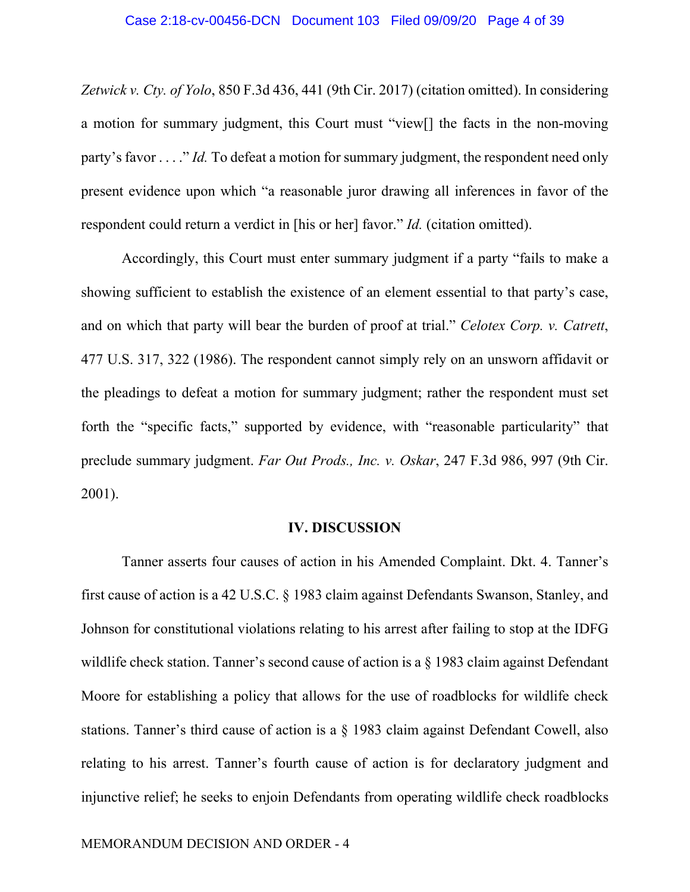*Zetwick v. Cty. of Yolo*, 850 F.3d 436, 441 (9th Cir. 2017) (citation omitted). In considering a motion for summary judgment, this Court must "view[] the facts in the non-moving party's favor . . . ." *Id.* To defeat a motion for summary judgment, the respondent need only present evidence upon which "a reasonable juror drawing all inferences in favor of the respondent could return a verdict in [his or her] favor." *Id.* (citation omitted).

Accordingly, this Court must enter summary judgment if a party "fails to make a showing sufficient to establish the existence of an element essential to that party's case, and on which that party will bear the burden of proof at trial." *Celotex Corp. v. Catrett*, 477 U.S. 317, 322 (1986). The respondent cannot simply rely on an unsworn affidavit or the pleadings to defeat a motion for summary judgment; rather the respondent must set forth the "specific facts," supported by evidence, with "reasonable particularity" that preclude summary judgment. *Far Out Prods., Inc. v. Oskar*, 247 F.3d 986, 997 (9th Cir. 2001).

## **IV. DISCUSSION**

Tanner asserts four causes of action in his Amended Complaint. Dkt. 4. Tanner's first cause of action is a 42 U.S.C. § 1983 claim against Defendants Swanson, Stanley, and Johnson for constitutional violations relating to his arrest after failing to stop at the IDFG wildlife check station. Tanner's second cause of action is a § 1983 claim against Defendant Moore for establishing a policy that allows for the use of roadblocks for wildlife check stations. Tanner's third cause of action is a § 1983 claim against Defendant Cowell, also relating to his arrest. Tanner's fourth cause of action is for declaratory judgment and injunctive relief; he seeks to enjoin Defendants from operating wildlife check roadblocks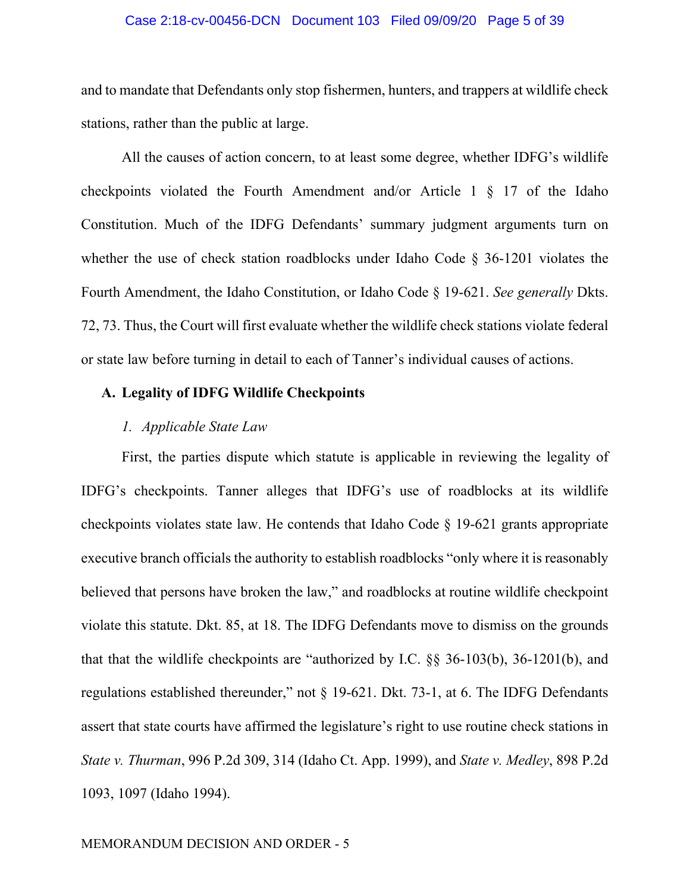## Case 2:18-cv-00456-DCN Document 103 Filed 09/09/20 Page 5 of 39

and to mandate that Defendants only stop fishermen, hunters, and trappers at wildlife check stations, rather than the public at large.

All the causes of action concern, to at least some degree, whether IDFG's wildlife checkpoints violated the Fourth Amendment and/or Article 1 § 17 of the Idaho Constitution. Much of the IDFG Defendants' summary judgment arguments turn on whether the use of check station roadblocks under Idaho Code § 36-1201 violates the Fourth Amendment, the Idaho Constitution, or Idaho Code § 19-621. *See generally* Dkts. 72, 73. Thus, the Court will first evaluate whether the wildlife check stations violate federal or state law before turning in detail to each of Tanner's individual causes of actions.

## **A. Legality of IDFG Wildlife Checkpoints**

## *1. Applicable State Law*

First, the parties dispute which statute is applicable in reviewing the legality of IDFG's checkpoints. Tanner alleges that IDFG's use of roadblocks at its wildlife checkpoints violates state law. He contends that Idaho Code § 19-621 grants appropriate executive branch officials the authority to establish roadblocks "only where it is reasonably believed that persons have broken the law," and roadblocks at routine wildlife checkpoint violate this statute. Dkt. 85, at 18. The IDFG Defendants move to dismiss on the grounds that that the wildlife checkpoints are "authorized by I.C. §§ 36-103(b), 36-1201(b), and regulations established thereunder," not § 19-621. Dkt. 73-1, at 6. The IDFG Defendants assert that state courts have affirmed the legislature's right to use routine check stations in *State v. Thurman*, 996 P.2d 309, 314 (Idaho Ct. App. 1999), and *State v. Medley*, 898 P.2d 1093, 1097 (Idaho 1994).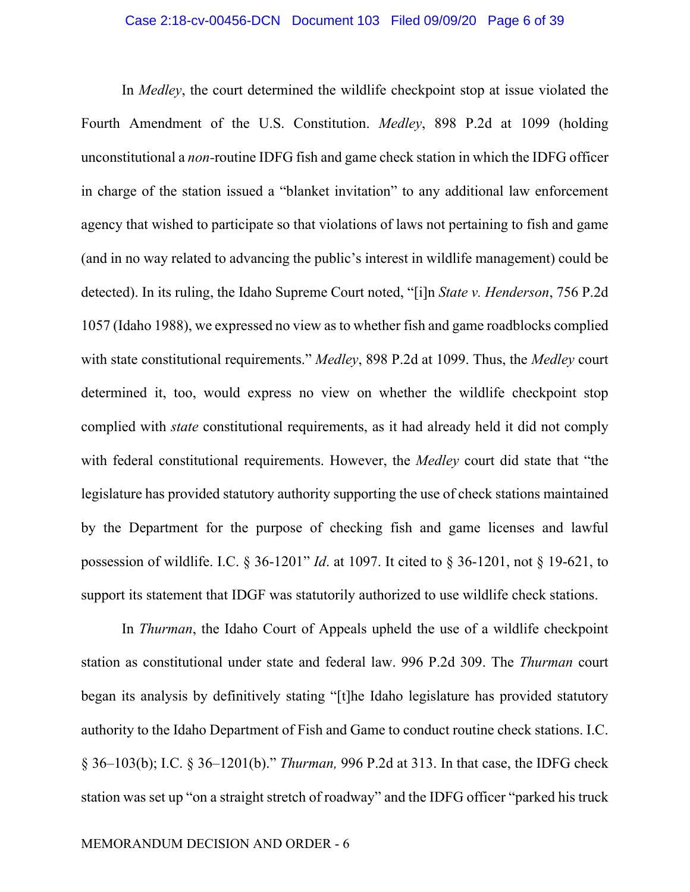## Case 2:18-cv-00456-DCN Document 103 Filed 09/09/20 Page 6 of 39

In *Medley*, the court determined the wildlife checkpoint stop at issue violated the Fourth Amendment of the U.S. Constitution. *Medley*, 898 P.2d at 1099 (holding unconstitutional a *non-*routine IDFG fish and game check station in which the IDFG officer in charge of the station issued a "blanket invitation" to any additional law enforcement agency that wished to participate so that violations of laws not pertaining to fish and game (and in no way related to advancing the public's interest in wildlife management) could be detected). In its ruling, the Idaho Supreme Court noted, "[i]n *State v. Henderson*, 756 P.2d 1057 (Idaho 1988), we expressed no view as to whether fish and game roadblocks complied with state constitutional requirements." *Medley*, 898 P.2d at 1099. Thus, the *Medley* court determined it, too, would express no view on whether the wildlife checkpoint stop complied with *state* constitutional requirements, as it had already held it did not comply with federal constitutional requirements. However, the *Medley* court did state that "the legislature has provided statutory authority supporting the use of check stations maintained by the Department for the purpose of checking fish and game licenses and lawful possession of wildlife. I.C. § 36-1201" *Id*. at 1097. It cited to § 36-1201, not § 19-621, to support its statement that IDGF was statutorily authorized to use wildlife check stations.

In *Thurman*, the Idaho Court of Appeals upheld the use of a wildlife checkpoint station as constitutional under state and federal law. 996 P.2d 309. The *Thurman* court began its analysis by definitively stating "[t]he Idaho legislature has provided statutory authority to the Idaho Department of Fish and Game to conduct routine check stations. I.C. § 36–103(b); I.C. § 36–1201(b)." *Thurman,* 996 P.2d at 313. In that case, the IDFG check station was set up "on a straight stretch of roadway" and the IDFG officer "parked his truck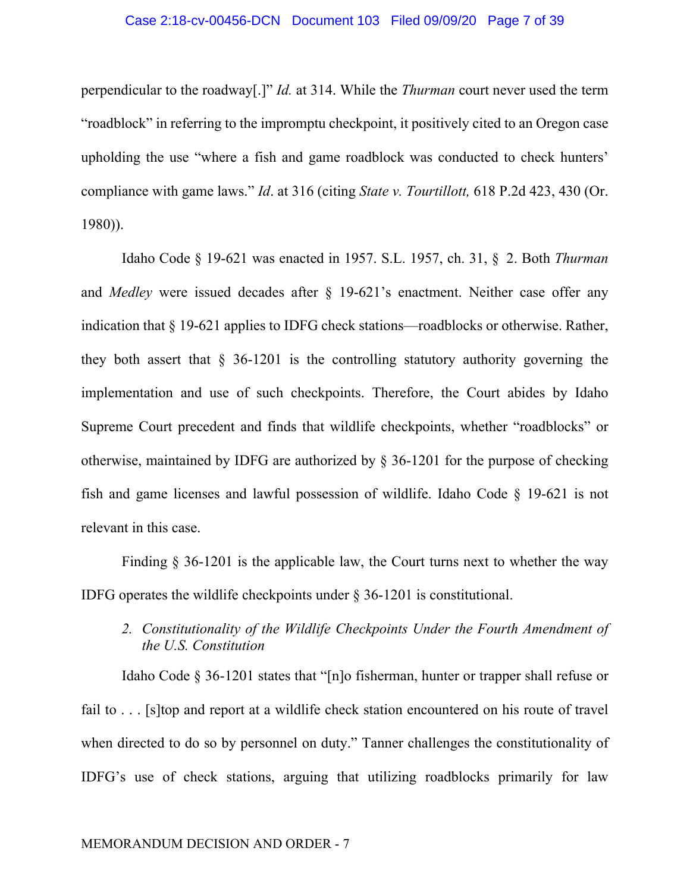perpendicular to the roadway[.]" *Id.* at 314. While the *Thurman* court never used the term "roadblock" in referring to the impromptu checkpoint, it positively cited to an Oregon case upholding the use "where a fish and game roadblock was conducted to check hunters' compliance with game laws." *Id*. at 316 (citing *State v. Tourtillott,* 618 P.2d 423, 430 (Or. 1980)).

Idaho Code § 19-621 was enacted in 1957. S.L. 1957, ch. 31, § 2. Both *Thurman*  and *Medley* were issued decades after § 19-621's enactment. Neither case offer any indication that § 19-621 applies to IDFG check stations—roadblocks or otherwise. Rather, they both assert that  $\S$  36-1201 is the controlling statutory authority governing the implementation and use of such checkpoints. Therefore, the Court abides by Idaho Supreme Court precedent and finds that wildlife checkpoints, whether "roadblocks" or otherwise, maintained by IDFG are authorized by § 36-1201 for the purpose of checking fish and game licenses and lawful possession of wildlife. Idaho Code § 19-621 is not relevant in this case.

Finding § 36-1201 is the applicable law, the Court turns next to whether the way IDFG operates the wildlife checkpoints under § 36-1201 is constitutional.

*2. Constitutionality of the Wildlife Checkpoints Under the Fourth Amendment of the U.S. Constitution* 

Idaho Code § 36-1201 states that "[n]o fisherman, hunter or trapper shall refuse or fail to . . . [s]top and report at a wildlife check station encountered on his route of travel when directed to do so by personnel on duty." Tanner challenges the constitutionality of IDFG's use of check stations, arguing that utilizing roadblocks primarily for law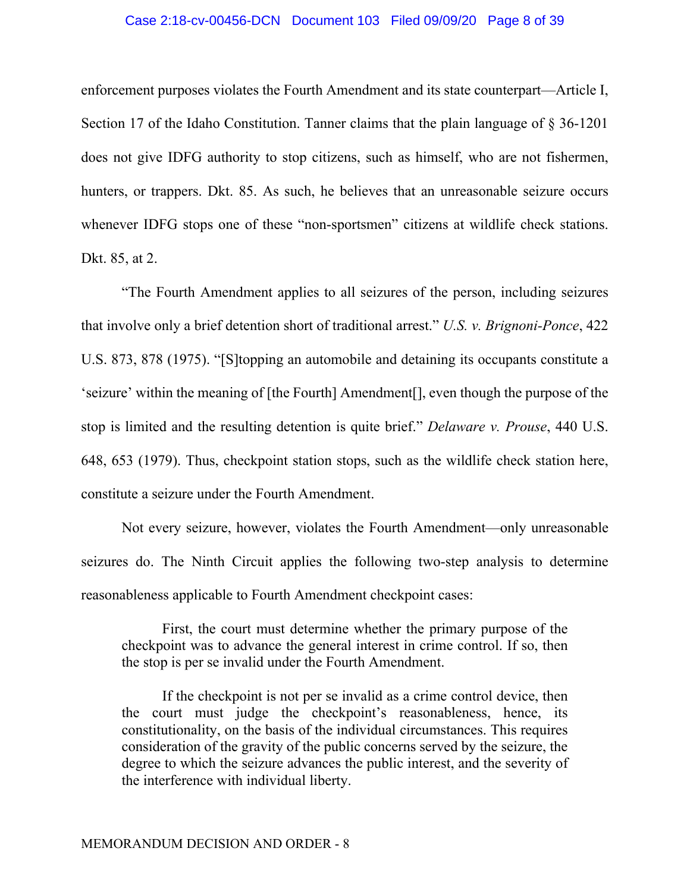## Case 2:18-cv-00456-DCN Document 103 Filed 09/09/20 Page 8 of 39

enforcement purposes violates the Fourth Amendment and its state counterpart—Article I, Section 17 of the Idaho Constitution. Tanner claims that the plain language of  $\S 36-1201$ does not give IDFG authority to stop citizens, such as himself, who are not fishermen, hunters, or trappers. Dkt. 85. As such, he believes that an unreasonable seizure occurs whenever IDFG stops one of these "non-sportsmen" citizens at wildlife check stations. Dkt. 85, at 2.

"The Fourth Amendment applies to all seizures of the person, including seizures that involve only a brief detention short of traditional arrest." *U.S. v. Brignoni-Ponce*, 422 U.S. 873, 878 (1975). "[S]topping an automobile and detaining its occupants constitute a 'seizure' within the meaning of [the Fourth] Amendment[], even though the purpose of the stop is limited and the resulting detention is quite brief." *Delaware v. Prouse*, 440 U.S. 648, 653 (1979). Thus, checkpoint station stops, such as the wildlife check station here, constitute a seizure under the Fourth Amendment.

Not every seizure, however, violates the Fourth Amendment—only unreasonable seizures do. The Ninth Circuit applies the following two-step analysis to determine reasonableness applicable to Fourth Amendment checkpoint cases:

First, the court must determine whether the primary purpose of the checkpoint was to advance the general interest in crime control. If so, then the stop is per se invalid under the Fourth Amendment.

If the checkpoint is not per se invalid as a crime control device, then the court must judge the checkpoint's reasonableness, hence, its constitutionality, on the basis of the individual circumstances. This requires consideration of the gravity of the public concerns served by the seizure, the degree to which the seizure advances the public interest, and the severity of the interference with individual liberty.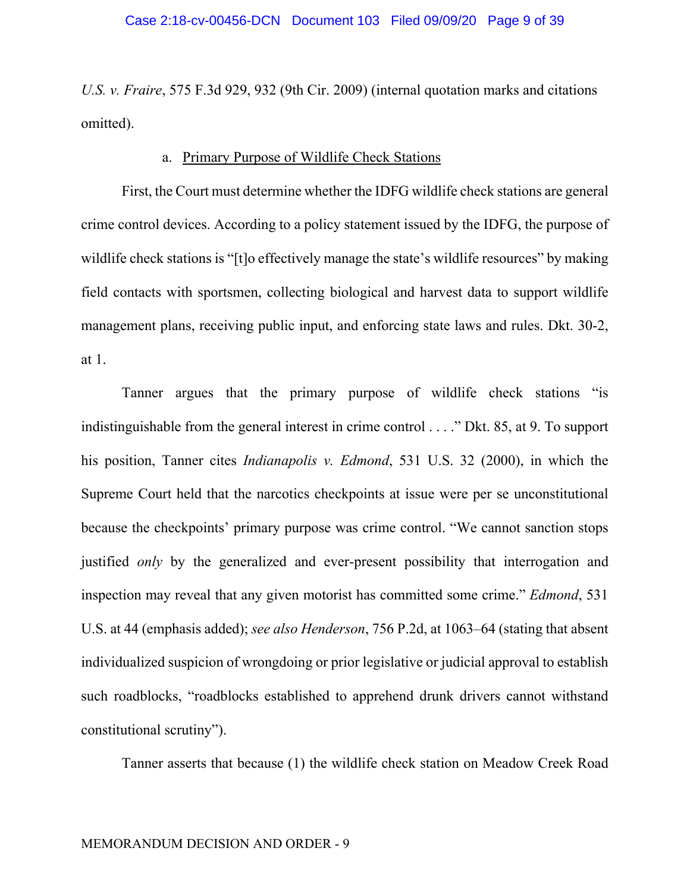*U.S. v. Fraire*, 575 F.3d 929, 932 (9th Cir. 2009) (internal quotation marks and citations omitted).

## a. Primary Purpose of Wildlife Check Stations

First, the Court must determine whether the IDFG wildlife check stations are general crime control devices. According to a policy statement issued by the IDFG, the purpose of wildlife check stations is "[t]o effectively manage the state's wildlife resources" by making field contacts with sportsmen, collecting biological and harvest data to support wildlife management plans, receiving public input, and enforcing state laws and rules. Dkt. 30-2, at 1.

Tanner argues that the primary purpose of wildlife check stations "is indistinguishable from the general interest in crime control . . . ." Dkt. 85, at 9. To support his position, Tanner cites *Indianapolis v. Edmond*, 531 U.S. 32 (2000), in which the Supreme Court held that the narcotics checkpoints at issue were per se unconstitutional because the checkpoints' primary purpose was crime control. "We cannot sanction stops justified *only* by the generalized and ever-present possibility that interrogation and inspection may reveal that any given motorist has committed some crime." *Edmond*, 531 U.S. at 44 (emphasis added); *see also Henderson*, 756 P.2d, at 1063–64 (stating that absent individualized suspicion of wrongdoing or prior legislative or judicial approval to establish such roadblocks, "roadblocks established to apprehend drunk drivers cannot withstand constitutional scrutiny").

Tanner asserts that because (1) the wildlife check station on Meadow Creek Road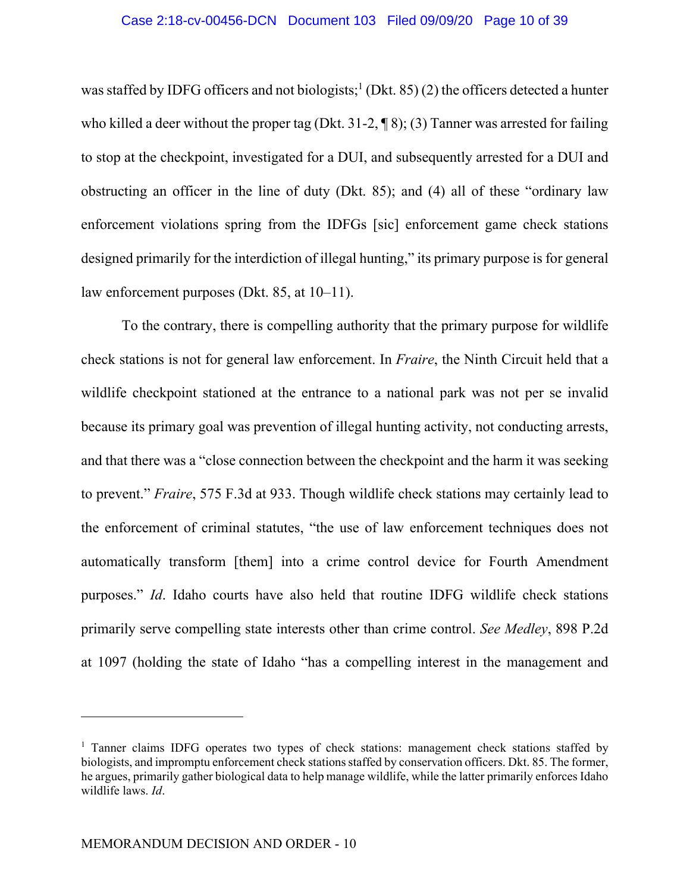was staffed by IDFG officers and not biologists;<sup>1</sup> (Dkt. 85) (2) the officers detected a hunter who killed a deer without the proper tag (Dkt. 31-2,  $\P$ 8); (3) Tanner was arrested for failing to stop at the checkpoint, investigated for a DUI, and subsequently arrested for a DUI and obstructing an officer in the line of duty (Dkt. 85); and (4) all of these "ordinary law enforcement violations spring from the IDFGs [sic] enforcement game check stations designed primarily for the interdiction of illegal hunting," its primary purpose is for general law enforcement purposes (Dkt. 85, at 10–11).

To the contrary, there is compelling authority that the primary purpose for wildlife check stations is not for general law enforcement. In *Fraire*, the Ninth Circuit held that a wildlife checkpoint stationed at the entrance to a national park was not per se invalid because its primary goal was prevention of illegal hunting activity, not conducting arrests, and that there was a "close connection between the checkpoint and the harm it was seeking to prevent." *Fraire*, 575 F.3d at 933. Though wildlife check stations may certainly lead to the enforcement of criminal statutes, "the use of law enforcement techniques does not automatically transform [them] into a crime control device for Fourth Amendment purposes." *Id*. Idaho courts have also held that routine IDFG wildlife check stations primarily serve compelling state interests other than crime control. *See Medley*, 898 P.2d at 1097 (holding the state of Idaho "has a compelling interest in the management and

<sup>&</sup>lt;sup>1</sup> Tanner claims IDFG operates two types of check stations: management check stations staffed by biologists, and impromptu enforcement check stations staffed by conservation officers. Dkt. 85. The former, he argues, primarily gather biological data to help manage wildlife, while the latter primarily enforces Idaho wildlife laws. *Id*.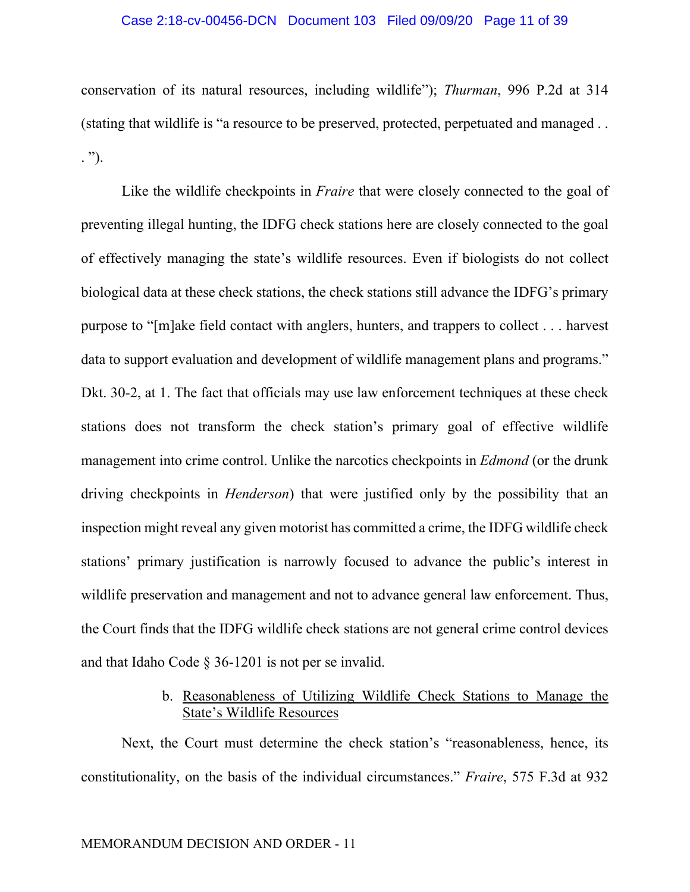## Case 2:18-cv-00456-DCN Document 103 Filed 09/09/20 Page 11 of 39

conservation of its natural resources, including wildlife"); *Thurman*, 996 P.2d at 314 (stating that wildlife is "a resource to be preserved, protected, perpetuated and managed . . . ").

Like the wildlife checkpoints in *Fraire* that were closely connected to the goal of preventing illegal hunting, the IDFG check stations here are closely connected to the goal of effectively managing the state's wildlife resources. Even if biologists do not collect biological data at these check stations, the check stations still advance the IDFG's primary purpose to "[m]ake field contact with anglers, hunters, and trappers to collect . . . harvest data to support evaluation and development of wildlife management plans and programs." Dkt. 30-2, at 1. The fact that officials may use law enforcement techniques at these check stations does not transform the check station's primary goal of effective wildlife management into crime control. Unlike the narcotics checkpoints in *Edmond* (or the drunk driving checkpoints in *Henderson*) that were justified only by the possibility that an inspection might reveal any given motorist has committed a crime, the IDFG wildlife check stations' primary justification is narrowly focused to advance the public's interest in wildlife preservation and management and not to advance general law enforcement. Thus, the Court finds that the IDFG wildlife check stations are not general crime control devices and that Idaho Code § 36-1201 is not per se invalid.

# b. Reasonableness of Utilizing Wildlife Check Stations to Manage the State's Wildlife Resources

Next, the Court must determine the check station's "reasonableness, hence, its constitutionality, on the basis of the individual circumstances." *Fraire*, 575 F.3d at 932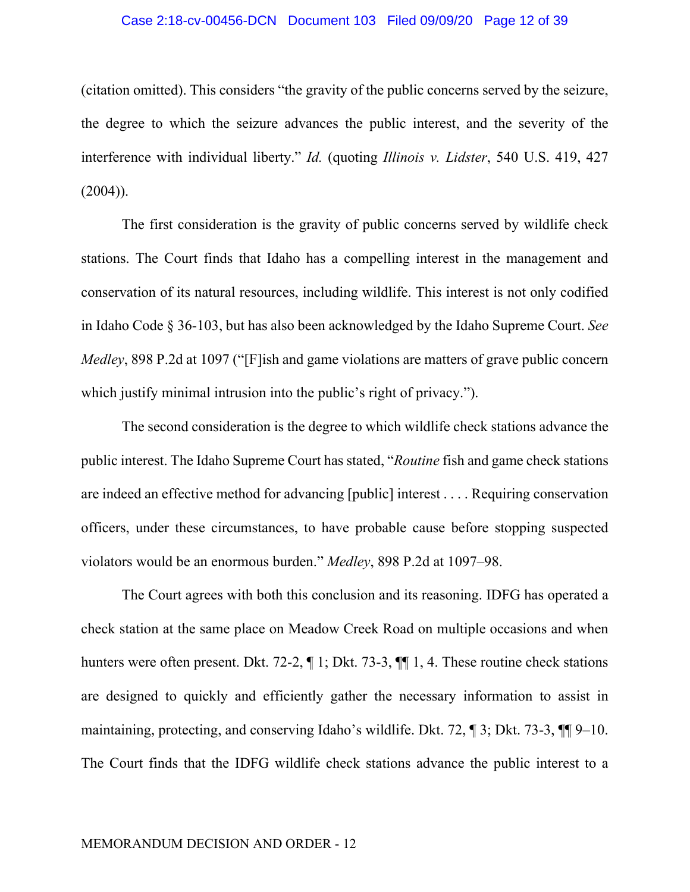#### Case 2:18-cv-00456-DCN Document 103 Filed 09/09/20 Page 12 of 39

(citation omitted). This considers "the gravity of the public concerns served by the seizure, the degree to which the seizure advances the public interest, and the severity of the interference with individual liberty." *Id.* (quoting *Illinois v. Lidster*, 540 U.S. 419, 427  $(2004)$ ).

The first consideration is the gravity of public concerns served by wildlife check stations. The Court finds that Idaho has a compelling interest in the management and conservation of its natural resources, including wildlife. This interest is not only codified in Idaho Code § 36-103, but has also been acknowledged by the Idaho Supreme Court. *See Medley*, 898 P.2d at 1097 ("[F]ish and game violations are matters of grave public concern which justify minimal intrusion into the public's right of privacy.").

The second consideration is the degree to which wildlife check stations advance the public interest. The Idaho Supreme Court has stated, "*Routine* fish and game check stations are indeed an effective method for advancing [public] interest . . . . Requiring conservation officers, under these circumstances, to have probable cause before stopping suspected violators would be an enormous burden." *Medley*, 898 P.2d at 1097–98.

The Court agrees with both this conclusion and its reasoning. IDFG has operated a check station at the same place on Meadow Creek Road on multiple occasions and when hunters were often present. Dkt. 72-2,  $\P$  1; Dkt. 73-3,  $\P$  $\P$  1, 4. These routine check stations are designed to quickly and efficiently gather the necessary information to assist in maintaining, protecting, and conserving Idaho's wildlife. Dkt. 72, ¶ 3; Dkt. 73-3, ¶¶ 9–10. The Court finds that the IDFG wildlife check stations advance the public interest to a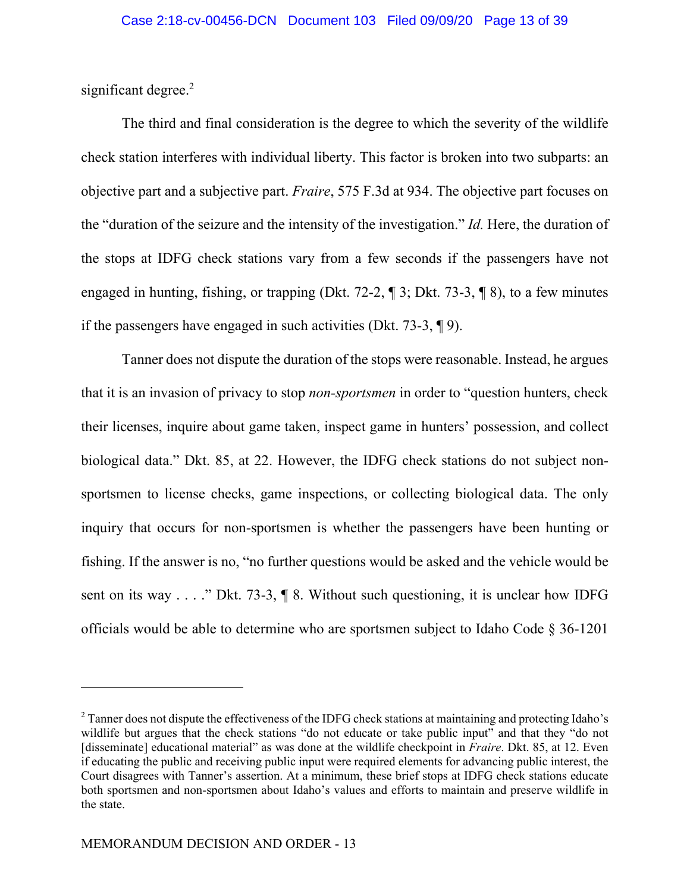significant degree.<sup>2</sup>

The third and final consideration is the degree to which the severity of the wildlife check station interferes with individual liberty. This factor is broken into two subparts: an objective part and a subjective part. *Fraire*, 575 F.3d at 934. The objective part focuses on the "duration of the seizure and the intensity of the investigation." *Id.* Here, the duration of the stops at IDFG check stations vary from a few seconds if the passengers have not engaged in hunting, fishing, or trapping (Dkt. 72-2, ¶ 3; Dkt. 73-3, ¶ 8), to a few minutes if the passengers have engaged in such activities (Dkt. 73-3, ¶ 9).

Tanner does not dispute the duration of the stops were reasonable. Instead, he argues that it is an invasion of privacy to stop *non-sportsmen* in order to "question hunters, check their licenses, inquire about game taken, inspect game in hunters' possession, and collect biological data." Dkt. 85, at 22. However, the IDFG check stations do not subject nonsportsmen to license checks, game inspections, or collecting biological data. The only inquiry that occurs for non-sportsmen is whether the passengers have been hunting or fishing. If the answer is no, "no further questions would be asked and the vehicle would be sent on its way . . . ." Dkt. 73-3, ¶ 8. Without such questioning, it is unclear how IDFG officials would be able to determine who are sportsmen subject to Idaho Code § 36-1201

<sup>&</sup>lt;sup>2</sup> Tanner does not dispute the effectiveness of the IDFG check stations at maintaining and protecting Idaho's wildlife but argues that the check stations "do not educate or take public input" and that they "do not [disseminate] educational material" as was done at the wildlife checkpoint in *Fraire*. Dkt. 85, at 12. Even if educating the public and receiving public input were required elements for advancing public interest, the Court disagrees with Tanner's assertion. At a minimum, these brief stops at IDFG check stations educate both sportsmen and non-sportsmen about Idaho's values and efforts to maintain and preserve wildlife in the state.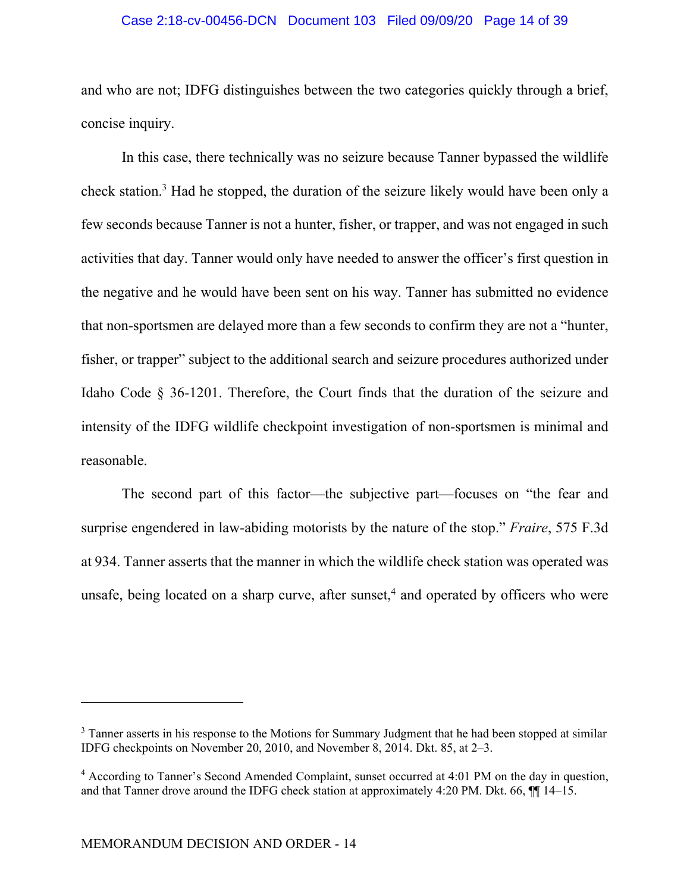## Case 2:18-cv-00456-DCN Document 103 Filed 09/09/20 Page 14 of 39

and who are not; IDFG distinguishes between the two categories quickly through a brief, concise inquiry.

In this case, there technically was no seizure because Tanner bypassed the wildlife check station.<sup>3</sup> Had he stopped, the duration of the seizure likely would have been only a few seconds because Tanner is not a hunter, fisher, or trapper, and was not engaged in such activities that day. Tanner would only have needed to answer the officer's first question in the negative and he would have been sent on his way. Tanner has submitted no evidence that non-sportsmen are delayed more than a few seconds to confirm they are not a "hunter, fisher, or trapper" subject to the additional search and seizure procedures authorized under Idaho Code § 36-1201. Therefore, the Court finds that the duration of the seizure and intensity of the IDFG wildlife checkpoint investigation of non-sportsmen is minimal and reasonable.

The second part of this factor—the subjective part—focuses on "the fear and surprise engendered in law-abiding motorists by the nature of the stop." *Fraire*, 575 F.3d at 934. Tanner asserts that the manner in which the wildlife check station was operated was unsafe, being located on a sharp curve, after sunset,<sup>4</sup> and operated by officers who were

<sup>&</sup>lt;sup>3</sup> Tanner asserts in his response to the Motions for Summary Judgment that he had been stopped at similar IDFG checkpoints on November 20, 2010, and November 8, 2014. Dkt. 85, at 2–3.

<sup>&</sup>lt;sup>4</sup> According to Tanner's Second Amended Complaint, sunset occurred at 4:01 PM on the day in question, and that Tanner drove around the IDFG check station at approximately 4:20 PM. Dkt. 66, ¶¶ 14–15.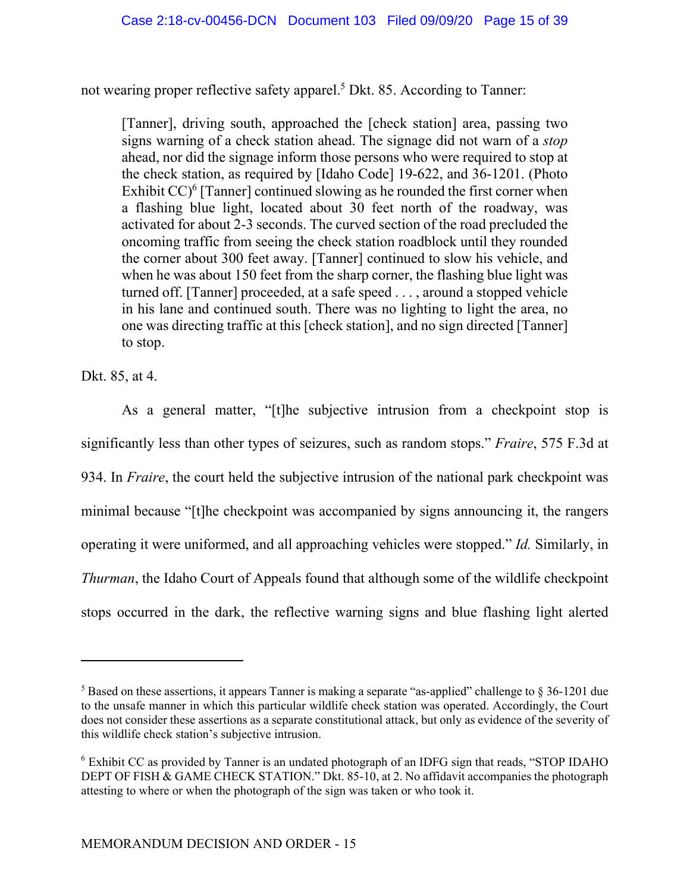not wearing proper reflective safety apparel.<sup>5</sup> Dkt. 85. According to Tanner:

[Tanner], driving south, approached the [check station] area, passing two signs warning of a check station ahead. The signage did not warn of a *stop* ahead, nor did the signage inform those persons who were required to stop at the check station, as required by [Idaho Code] 19-622, and 36-1201. (Photo Exhibit  $CC$ <sup>6</sup> [Tanner] continued slowing as he rounded the first corner when a flashing blue light, located about 30 feet north of the roadway, was activated for about 2-3 seconds. The curved section of the road precluded the oncoming traffic from seeing the check station roadblock until they rounded the corner about 300 feet away. [Tanner] continued to slow his vehicle, and when he was about 150 feet from the sharp corner, the flashing blue light was turned off. [Tanner] proceeded, at a safe speed . . . , around a stopped vehicle in his lane and continued south. There was no lighting to light the area, no one was directing traffic at this [check station], and no sign directed [Tanner] to stop.

Dkt. 85, at 4.

As a general matter, "[t]he subjective intrusion from a checkpoint stop is significantly less than other types of seizures, such as random stops." *Fraire*, 575 F.3d at 934. In *Fraire*, the court held the subjective intrusion of the national park checkpoint was minimal because "[t]he checkpoint was accompanied by signs announcing it, the rangers operating it were uniformed, and all approaching vehicles were stopped." *Id.* Similarly, in *Thurman*, the Idaho Court of Appeals found that although some of the wildlife checkpoint stops occurred in the dark, the reflective warning signs and blue flashing light alerted

<sup>&</sup>lt;sup>5</sup> Based on these assertions, it appears Tanner is making a separate "as-applied" challenge to  $\S 36$ -1201 due to the unsafe manner in which this particular wildlife check station was operated. Accordingly, the Court does not consider these assertions as a separate constitutional attack, but only as evidence of the severity of this wildlife check station's subjective intrusion.

<sup>&</sup>lt;sup>6</sup> Exhibit CC as provided by Tanner is an undated photograph of an IDFG sign that reads, "STOP IDAHO DEPT OF FISH & GAME CHECK STATION." Dkt. 85-10, at 2. No affidavit accompanies the photograph attesting to where or when the photograph of the sign was taken or who took it.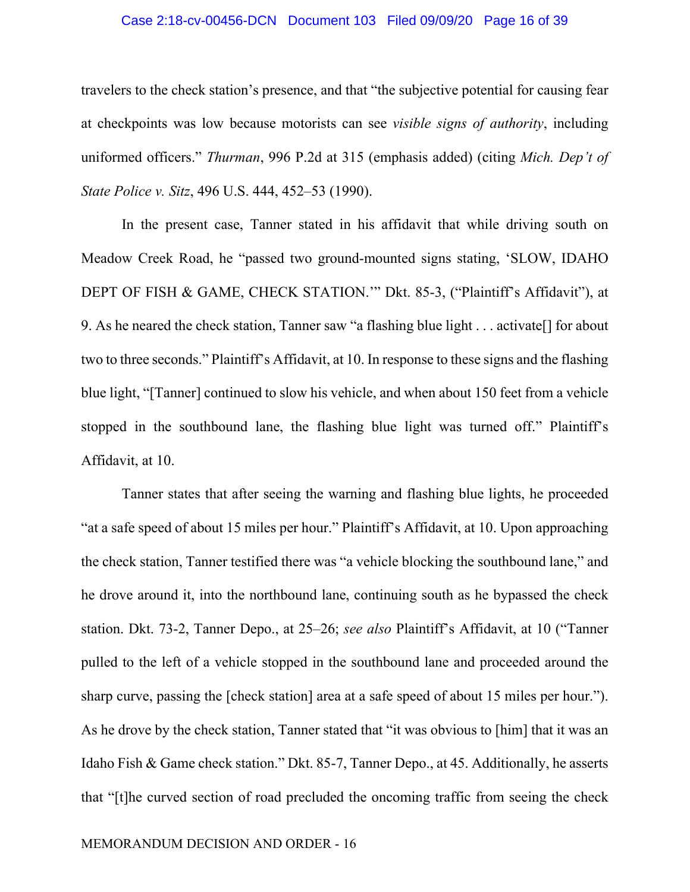#### Case 2:18-cv-00456-DCN Document 103 Filed 09/09/20 Page 16 of 39

travelers to the check station's presence, and that "the subjective potential for causing fear at checkpoints was low because motorists can see *visible signs of authority*, including uniformed officers." *Thurman*, 996 P.2d at 315 (emphasis added) (citing *Mich. Dep't of State Police v. Sitz*, 496 U.S. 444, 452–53 (1990).

In the present case, Tanner stated in his affidavit that while driving south on Meadow Creek Road, he "passed two ground-mounted signs stating, 'SLOW, IDAHO DEPT OF FISH & GAME, CHECK STATION.'" Dkt. 85-3, ("Plaintiff's Affidavit"), at 9. As he neared the check station, Tanner saw "a flashing blue light . . . activate[] for about two to three seconds." Plaintiff's Affidavit, at 10. In response to these signs and the flashing blue light, "[Tanner] continued to slow his vehicle, and when about 150 feet from a vehicle stopped in the southbound lane, the flashing blue light was turned off." Plaintiff's Affidavit, at 10.

Tanner states that after seeing the warning and flashing blue lights, he proceeded "at a safe speed of about 15 miles per hour." Plaintiff's Affidavit, at 10. Upon approaching the check station, Tanner testified there was "a vehicle blocking the southbound lane," and he drove around it, into the northbound lane, continuing south as he bypassed the check station. Dkt. 73-2, Tanner Depo., at 25–26; *see also* Plaintiff's Affidavit, at 10 ("Tanner pulled to the left of a vehicle stopped in the southbound lane and proceeded around the sharp curve, passing the [check station] area at a safe speed of about 15 miles per hour."). As he drove by the check station, Tanner stated that "it was obvious to [him] that it was an Idaho Fish & Game check station." Dkt. 85-7, Tanner Depo., at 45. Additionally, he asserts that "[t]he curved section of road precluded the oncoming traffic from seeing the check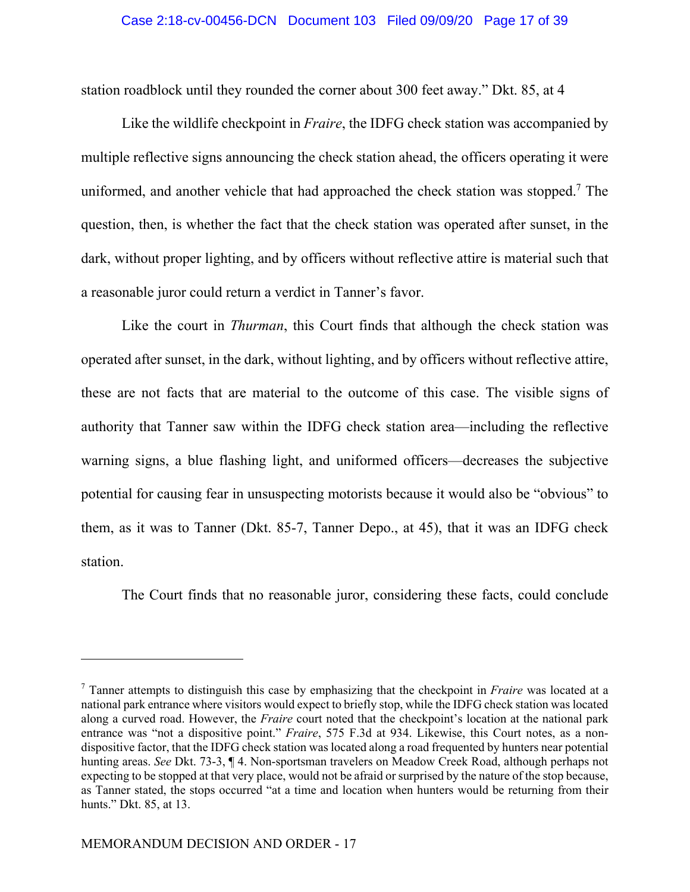station roadblock until they rounded the corner about 300 feet away." Dkt. 85, at 4

Like the wildlife checkpoint in *Fraire*, the IDFG check station was accompanied by multiple reflective signs announcing the check station ahead, the officers operating it were uniformed, and another vehicle that had approached the check station was stopped.<sup>7</sup> The question, then, is whether the fact that the check station was operated after sunset, in the dark, without proper lighting, and by officers without reflective attire is material such that a reasonable juror could return a verdict in Tanner's favor.

Like the court in *Thurman*, this Court finds that although the check station was operated after sunset, in the dark, without lighting, and by officers without reflective attire, these are not facts that are material to the outcome of this case. The visible signs of authority that Tanner saw within the IDFG check station area—including the reflective warning signs, a blue flashing light, and uniformed officers—decreases the subjective potential for causing fear in unsuspecting motorists because it would also be "obvious" to them, as it was to Tanner (Dkt. 85-7, Tanner Depo., at 45), that it was an IDFG check station.

The Court finds that no reasonable juror, considering these facts, could conclude

<sup>7</sup> Tanner attempts to distinguish this case by emphasizing that the checkpoint in *Fraire* was located at a national park entrance where visitors would expect to briefly stop, while the IDFG check station was located along a curved road. However, the *Fraire* court noted that the checkpoint's location at the national park entrance was "not a dispositive point." *Fraire*, 575 F.3d at 934. Likewise, this Court notes, as a nondispositive factor, that the IDFG check station was located along a road frequented by hunters near potential hunting areas. *See* Dkt. 73-3, ¶ 4. Non-sportsman travelers on Meadow Creek Road, although perhaps not expecting to be stopped at that very place, would not be afraid or surprised by the nature of the stop because, as Tanner stated, the stops occurred "at a time and location when hunters would be returning from their hunts." Dkt. 85, at 13.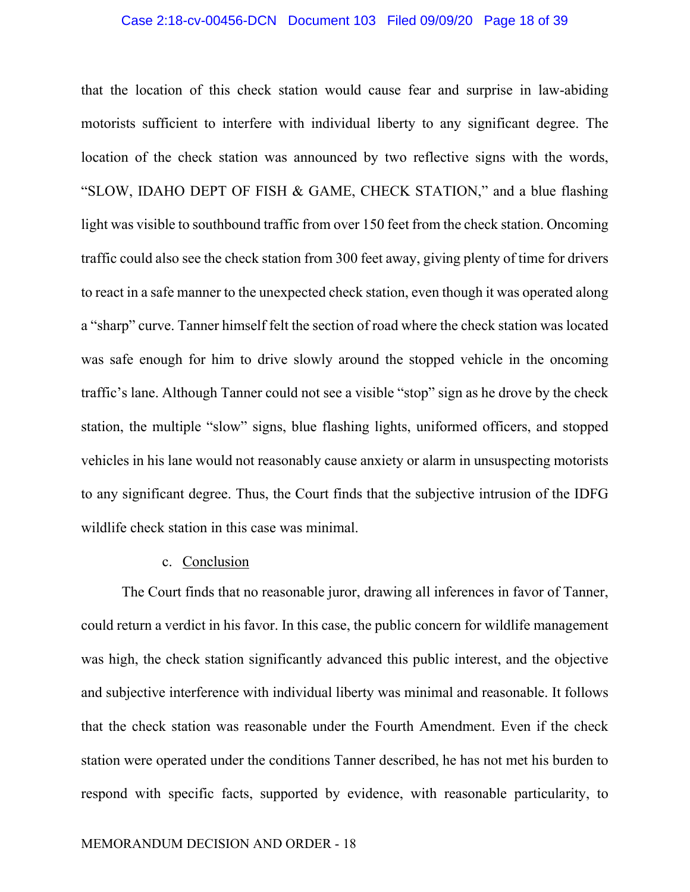### Case 2:18-cv-00456-DCN Document 103 Filed 09/09/20 Page 18 of 39

that the location of this check station would cause fear and surprise in law-abiding motorists sufficient to interfere with individual liberty to any significant degree. The location of the check station was announced by two reflective signs with the words, "SLOW, IDAHO DEPT OF FISH & GAME, CHECK STATION," and a blue flashing light was visible to southbound traffic from over 150 feet from the check station. Oncoming traffic could also see the check station from 300 feet away, giving plenty of time for drivers to react in a safe manner to the unexpected check station, even though it was operated along a "sharp" curve. Tanner himself felt the section of road where the check station was located was safe enough for him to drive slowly around the stopped vehicle in the oncoming traffic's lane. Although Tanner could not see a visible "stop" sign as he drove by the check station, the multiple "slow" signs, blue flashing lights, uniformed officers, and stopped vehicles in his lane would not reasonably cause anxiety or alarm in unsuspecting motorists to any significant degree. Thus, the Court finds that the subjective intrusion of the IDFG wildlife check station in this case was minimal.

## c. Conclusion

The Court finds that no reasonable juror, drawing all inferences in favor of Tanner, could return a verdict in his favor. In this case, the public concern for wildlife management was high, the check station significantly advanced this public interest, and the objective and subjective interference with individual liberty was minimal and reasonable. It follows that the check station was reasonable under the Fourth Amendment. Even if the check station were operated under the conditions Tanner described, he has not met his burden to respond with specific facts, supported by evidence, with reasonable particularity, to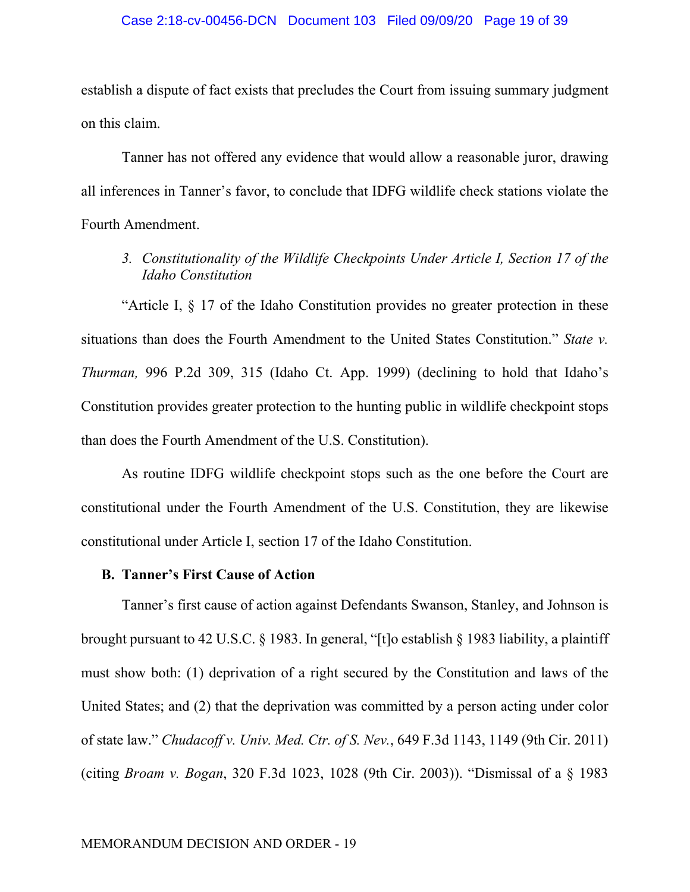establish a dispute of fact exists that precludes the Court from issuing summary judgment on this claim.

Tanner has not offered any evidence that would allow a reasonable juror, drawing all inferences in Tanner's favor, to conclude that IDFG wildlife check stations violate the Fourth Amendment.

*3. Constitutionality of the Wildlife Checkpoints Under Article I, Section 17 of the Idaho Constitution* 

"Article I, § 17 of the Idaho Constitution provides no greater protection in these situations than does the Fourth Amendment to the United States Constitution." *State v. Thurman,* 996 P.2d 309, 315 (Idaho Ct. App. 1999) (declining to hold that Idaho's Constitution provides greater protection to the hunting public in wildlife checkpoint stops than does the Fourth Amendment of the U.S. Constitution).

As routine IDFG wildlife checkpoint stops such as the one before the Court are constitutional under the Fourth Amendment of the U.S. Constitution, they are likewise constitutional under Article I, section 17 of the Idaho Constitution.

#### **B. Tanner's First Cause of Action**

Tanner's first cause of action against Defendants Swanson, Stanley, and Johnson is brought pursuant to 42 U.S.C. § 1983. In general, "[t]o establish § 1983 liability, a plaintiff must show both: (1) deprivation of a right secured by the Constitution and laws of the United States; and (2) that the deprivation was committed by a person acting under color of state law." *Chudacoff v. Univ. Med. Ctr. of S. Nev.*, 649 F.3d 1143, 1149 (9th Cir. 2011) (citing *Broam v. Bogan*, 320 F.3d 1023, 1028 (9th Cir. 2003)). "Dismissal of a § 1983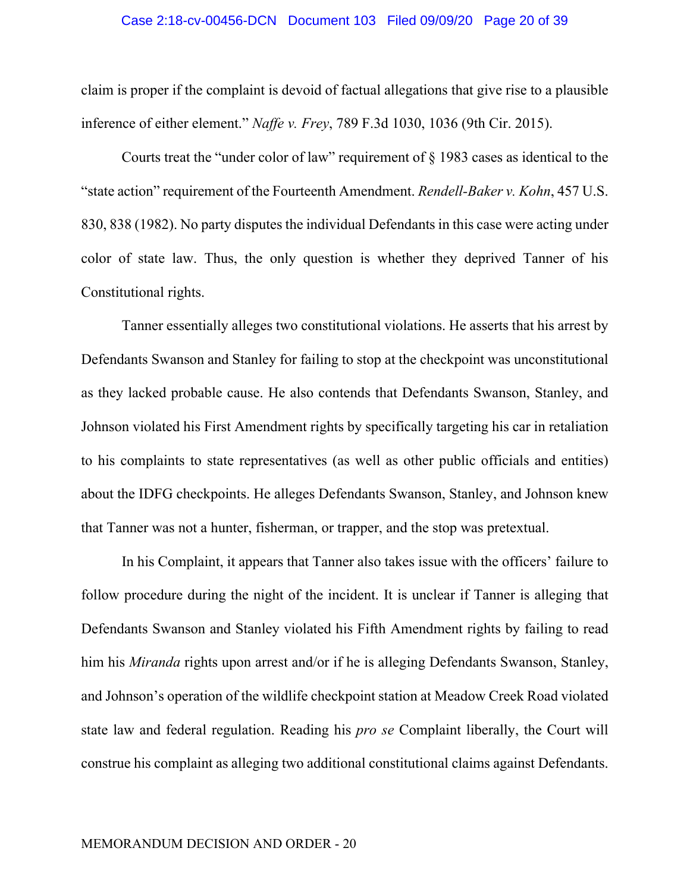#### Case 2:18-cv-00456-DCN Document 103 Filed 09/09/20 Page 20 of 39

claim is proper if the complaint is devoid of factual allegations that give rise to a plausible inference of either element." *Naffe v. Frey*, 789 F.3d 1030, 1036 (9th Cir. 2015).

Courts treat the "under color of law" requirement of § 1983 cases as identical to the "state action" requirement of the Fourteenth Amendment. *Rendell-Baker v. Kohn*, 457 U.S. 830, 838 (1982). No party disputes the individual Defendants in this case were acting under color of state law. Thus, the only question is whether they deprived Tanner of his Constitutional rights.

Tanner essentially alleges two constitutional violations. He asserts that his arrest by Defendants Swanson and Stanley for failing to stop at the checkpoint was unconstitutional as they lacked probable cause. He also contends that Defendants Swanson, Stanley, and Johnson violated his First Amendment rights by specifically targeting his car in retaliation to his complaints to state representatives (as well as other public officials and entities) about the IDFG checkpoints. He alleges Defendants Swanson, Stanley, and Johnson knew that Tanner was not a hunter, fisherman, or trapper, and the stop was pretextual.

In his Complaint, it appears that Tanner also takes issue with the officers' failure to follow procedure during the night of the incident. It is unclear if Tanner is alleging that Defendants Swanson and Stanley violated his Fifth Amendment rights by failing to read him his *Miranda* rights upon arrest and/or if he is alleging Defendants Swanson, Stanley, and Johnson's operation of the wildlife checkpoint station at Meadow Creek Road violated state law and federal regulation. Reading his *pro se* Complaint liberally, the Court will construe his complaint as alleging two additional constitutional claims against Defendants.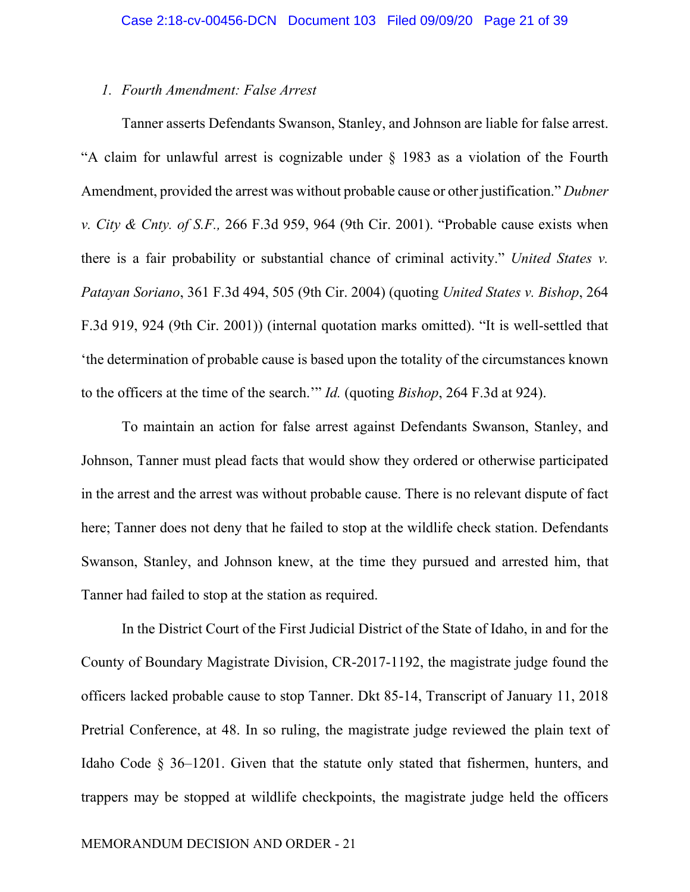## *1. Fourth Amendment: False Arrest*

Tanner asserts Defendants Swanson, Stanley, and Johnson are liable for false arrest. "A claim for unlawful arrest is cognizable under § 1983 as a violation of the Fourth Amendment, provided the arrest was without probable cause or other justification." *Dubner v. City & Cnty. of S.F.,* 266 F.3d 959, 964 (9th Cir. 2001). "Probable cause exists when there is a fair probability or substantial chance of criminal activity." *United States v. Patayan Soriano*, 361 F.3d 494, 505 (9th Cir. 2004) (quoting *United States v. Bishop*, 264 F.3d 919, 924 (9th Cir. 2001)) (internal quotation marks omitted). "It is well-settled that 'the determination of probable cause is based upon the totality of the circumstances known to the officers at the time of the search.'" *Id.* (quoting *Bishop*, 264 F.3d at 924).

To maintain an action for false arrest against Defendants Swanson, Stanley, and Johnson, Tanner must plead facts that would show they ordered or otherwise participated in the arrest and the arrest was without probable cause. There is no relevant dispute of fact here; Tanner does not deny that he failed to stop at the wildlife check station. Defendants Swanson, Stanley, and Johnson knew, at the time they pursued and arrested him, that Tanner had failed to stop at the station as required.

In the District Court of the First Judicial District of the State of Idaho, in and for the County of Boundary Magistrate Division, CR-2017-1192, the magistrate judge found the officers lacked probable cause to stop Tanner. Dkt 85-14, Transcript of January 11, 2018 Pretrial Conference, at 48. In so ruling, the magistrate judge reviewed the plain text of Idaho Code § 36–1201. Given that the statute only stated that fishermen, hunters, and trappers may be stopped at wildlife checkpoints, the magistrate judge held the officers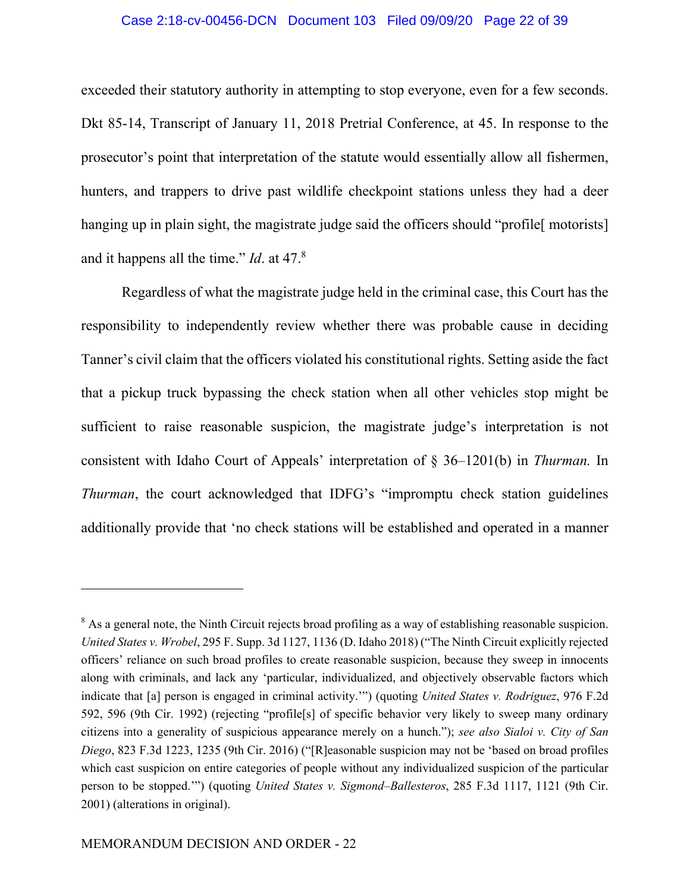## Case 2:18-cv-00456-DCN Document 103 Filed 09/09/20 Page 22 of 39

exceeded their statutory authority in attempting to stop everyone, even for a few seconds. Dkt 85-14, Transcript of January 11, 2018 Pretrial Conference, at 45. In response to the prosecutor's point that interpretation of the statute would essentially allow all fishermen, hunters, and trappers to drive past wildlife checkpoint stations unless they had a deer hanging up in plain sight, the magistrate judge said the officers should "profile motorists] and it happens all the time." *Id*. at 47.<sup>8</sup>

Regardless of what the magistrate judge held in the criminal case, this Court has the responsibility to independently review whether there was probable cause in deciding Tanner's civil claim that the officers violated his constitutional rights. Setting aside the fact that a pickup truck bypassing the check station when all other vehicles stop might be sufficient to raise reasonable suspicion, the magistrate judge's interpretation is not consistent with Idaho Court of Appeals' interpretation of § 36–1201(b) in *Thurman.* In *Thurman*, the court acknowledged that IDFG's "impromptu check station guidelines additionally provide that 'no check stations will be established and operated in a manner

<sup>&</sup>lt;sup>8</sup> As a general note, the Ninth Circuit rejects broad profiling as a way of establishing reasonable suspicion. *United States v. Wrobel*, 295 F. Supp. 3d 1127, 1136 (D. Idaho 2018) ("The Ninth Circuit explicitly rejected officers' reliance on such broad profiles to create reasonable suspicion, because they sweep in innocents along with criminals, and lack any 'particular, individualized, and objectively observable factors which indicate that [a] person is engaged in criminal activity.'") (quoting *United States v. Rodriguez*, 976 F.2d 592, 596 (9th Cir. 1992) (rejecting "profile[s] of specific behavior very likely to sweep many ordinary citizens into a generality of suspicious appearance merely on a hunch."); *see also Sialoi v. City of San Diego*, 823 F.3d 1223, 1235 (9th Cir. 2016) ("[R]easonable suspicion may not be 'based on broad profiles which cast suspicion on entire categories of people without any individualized suspicion of the particular person to be stopped.'") (quoting *United States v. Sigmond–Ballesteros*, 285 F.3d 1117, 1121 (9th Cir. 2001) (alterations in original).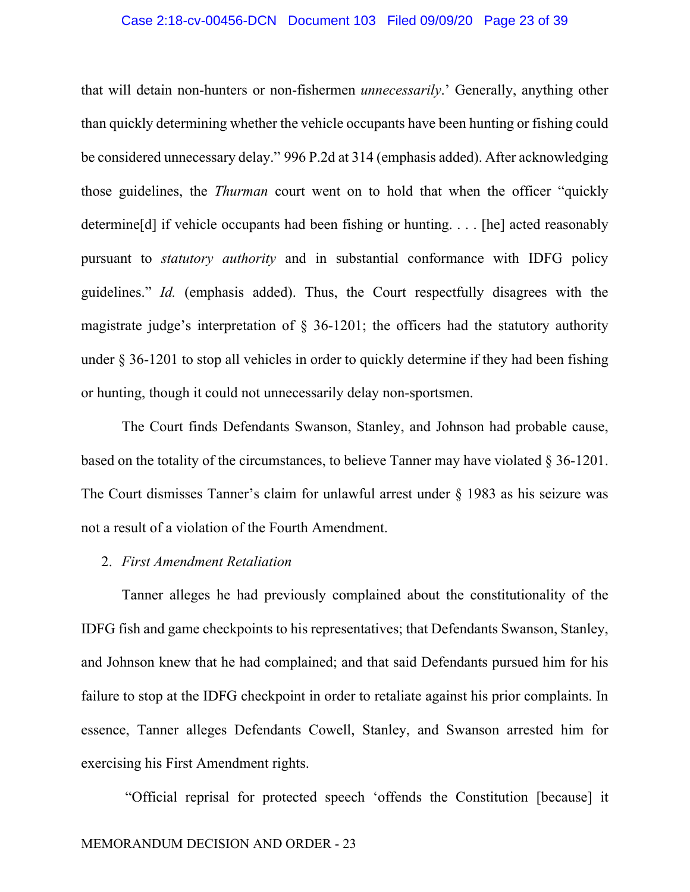## Case 2:18-cv-00456-DCN Document 103 Filed 09/09/20 Page 23 of 39

that will detain non-hunters or non-fishermen *unnecessarily*.' Generally, anything other than quickly determining whether the vehicle occupants have been hunting or fishing could be considered unnecessary delay." 996 P.2d at 314 (emphasis added). After acknowledging those guidelines, the *Thurman* court went on to hold that when the officer "quickly determine[d] if vehicle occupants had been fishing or hunting. . . . [he] acted reasonably pursuant to *statutory authority* and in substantial conformance with IDFG policy guidelines." *Id.* (emphasis added). Thus, the Court respectfully disagrees with the magistrate judge's interpretation of  $\S$  36-1201; the officers had the statutory authority under § 36-1201 to stop all vehicles in order to quickly determine if they had been fishing or hunting, though it could not unnecessarily delay non-sportsmen.

The Court finds Defendants Swanson, Stanley, and Johnson had probable cause, based on the totality of the circumstances, to believe Tanner may have violated § 36-1201. The Court dismisses Tanner's claim for unlawful arrest under § 1983 as his seizure was not a result of a violation of the Fourth Amendment.

## 2. *First Amendment Retaliation*

Tanner alleges he had previously complained about the constitutionality of the IDFG fish and game checkpoints to his representatives; that Defendants Swanson, Stanley, and Johnson knew that he had complained; and that said Defendants pursued him for his failure to stop at the IDFG checkpoint in order to retaliate against his prior complaints. In essence, Tanner alleges Defendants Cowell, Stanley, and Swanson arrested him for exercising his First Amendment rights.

"Official reprisal for protected speech 'offends the Constitution [because] it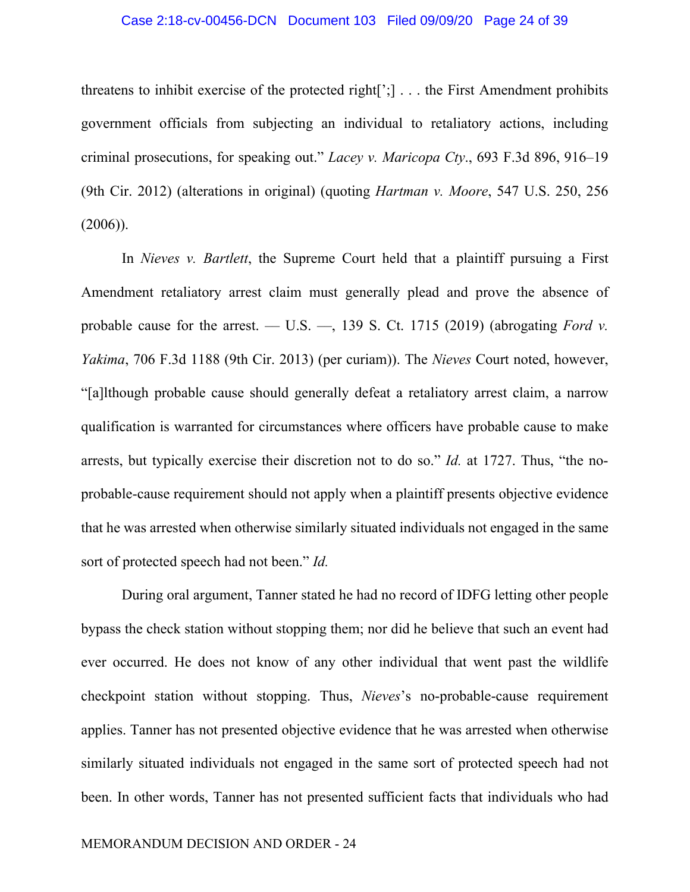#### Case 2:18-cv-00456-DCN Document 103 Filed 09/09/20 Page 24 of 39

threatens to inhibit exercise of the protected right[';] . . . the First Amendment prohibits government officials from subjecting an individual to retaliatory actions, including criminal prosecutions, for speaking out." *Lacey v. Maricopa Cty*., 693 F.3d 896, 916–19 (9th Cir. 2012) (alterations in original) (quoting *Hartman v. Moore*, 547 U.S. 250, 256  $(2006)$ ).

In *Nieves v. Bartlett*, the Supreme Court held that a plaintiff pursuing a First Amendment retaliatory arrest claim must generally plead and prove the absence of probable cause for the arrest. — U.S. —, 139 S. Ct. 1715 (2019) (abrogating *Ford v. Yakima*, 706 F.3d 1188 (9th Cir. 2013) (per curiam)). The *Nieves* Court noted, however, "[a]lthough probable cause should generally defeat a retaliatory arrest claim, a narrow qualification is warranted for circumstances where officers have probable cause to make arrests, but typically exercise their discretion not to do so." *Id.* at 1727. Thus, "the noprobable-cause requirement should not apply when a plaintiff presents objective evidence that he was arrested when otherwise similarly situated individuals not engaged in the same sort of protected speech had not been." *Id.*

During oral argument, Tanner stated he had no record of IDFG letting other people bypass the check station without stopping them; nor did he believe that such an event had ever occurred. He does not know of any other individual that went past the wildlife checkpoint station without stopping. Thus, *Nieves*'s no-probable-cause requirement applies. Tanner has not presented objective evidence that he was arrested when otherwise similarly situated individuals not engaged in the same sort of protected speech had not been. In other words, Tanner has not presented sufficient facts that individuals who had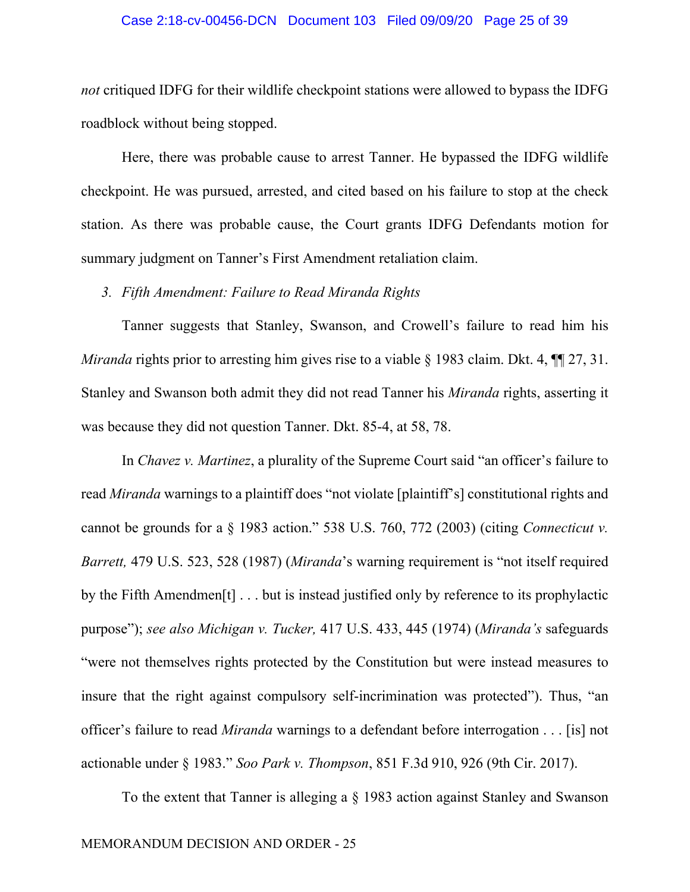#### Case 2:18-cv-00456-DCN Document 103 Filed 09/09/20 Page 25 of 39

*not* critiqued IDFG for their wildlife checkpoint stations were allowed to bypass the IDFG roadblock without being stopped.

Here, there was probable cause to arrest Tanner. He bypassed the IDFG wildlife checkpoint. He was pursued, arrested, and cited based on his failure to stop at the check station. As there was probable cause, the Court grants IDFG Defendants motion for summary judgment on Tanner's First Amendment retaliation claim.

## *3. Fifth Amendment: Failure to Read Miranda Rights*

Tanner suggests that Stanley, Swanson, and Crowell's failure to read him his *Miranda* rights prior to arresting him gives rise to a viable § 1983 claim. Dkt. 4, ¶ 27, 31. Stanley and Swanson both admit they did not read Tanner his *Miranda* rights, asserting it was because they did not question Tanner. Dkt. 85-4, at 58, 78.

In *Chavez v. Martinez*, a plurality of the Supreme Court said "an officer's failure to read *Miranda* warnings to a plaintiff does "not violate [plaintiff's] constitutional rights and cannot be grounds for a § 1983 action." 538 U.S. 760, 772 (2003) (citing *Connecticut v. Barrett,* 479 U.S. 523, 528 (1987) (*Miranda*'s warning requirement is "not itself required by the Fifth Amendmen[t] . . . but is instead justified only by reference to its prophylactic purpose"); *see also Michigan v. Tucker,* 417 U.S. 433, 445 (1974) (*Miranda's* safeguards "were not themselves rights protected by the Constitution but were instead measures to insure that the right against compulsory self-incrimination was protected"). Thus, "an officer's failure to read *Miranda* warnings to a defendant before interrogation . . . [is] not actionable under § 1983." *Soo Park v. Thompson*, 851 F.3d 910, 926 (9th Cir. 2017).

To the extent that Tanner is alleging a § 1983 action against Stanley and Swanson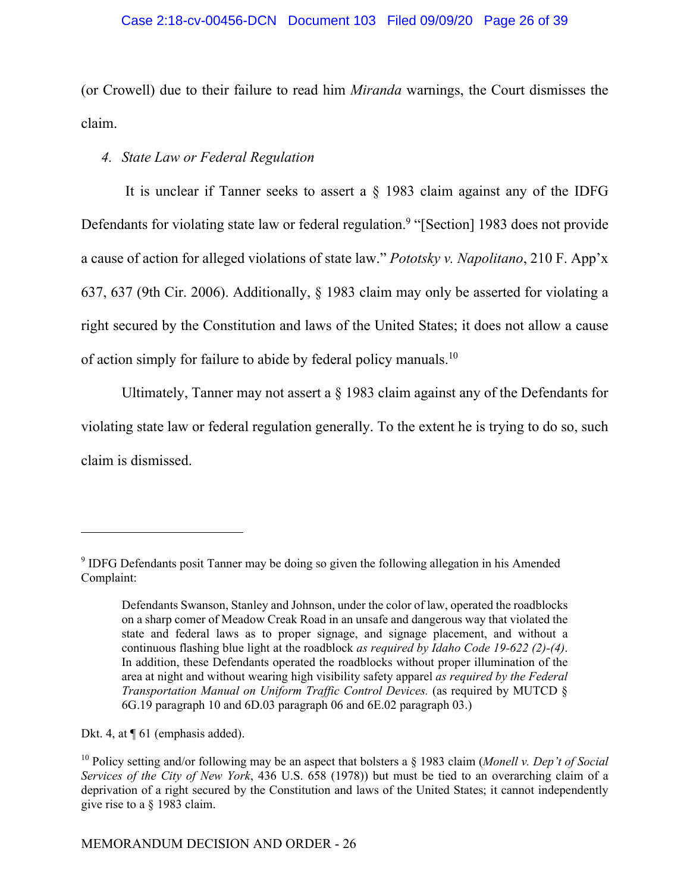## Case 2:18-cv-00456-DCN Document 103 Filed 09/09/20 Page 26 of 39

(or Crowell) due to their failure to read him *Miranda* warnings, the Court dismisses the claim.

## *4. State Law or Federal Regulation*

 It is unclear if Tanner seeks to assert a § 1983 claim against any of the IDFG Defendants for violating state law or federal regulation.<sup>9</sup> "[Section] 1983 does not provide a cause of action for alleged violations of state law." *Pototsky v. Napolitano*, 210 F. App'x 637, 637 (9th Cir. 2006). Additionally, § 1983 claim may only be asserted for violating a right secured by the Constitution and laws of the United States; it does not allow a cause of action simply for failure to abide by federal policy manuals.<sup>10</sup>

Ultimately, Tanner may not assert a  $\S$  1983 claim against any of the Defendants for violating state law or federal regulation generally. To the extent he is trying to do so, such claim is dismissed.

Dkt. 4, at  $\P$  61 (emphasis added).

<sup>&</sup>lt;sup>9</sup> IDFG Defendants posit Tanner may be doing so given the following allegation in his Amended Complaint:

Defendants Swanson, Stanley and Johnson, under the color of law, operated the roadblocks on a sharp comer of Meadow Creak Road in an unsafe and dangerous way that violated the state and federal laws as to proper signage, and signage placement, and without a continuous flashing blue light at the roadblock *as required by Idaho Code 19-622 (2)-(4)*. In addition, these Defendants operated the roadblocks without proper illumination of the area at night and without wearing high visibility safety apparel *as required by the Federal Transportation Manual on Uniform Traffic Control Devices.* (as required by MUTCD § 6G.19 paragraph 10 and 6D.03 paragraph 06 and 6E.02 paragraph 03.)

<sup>10</sup> Policy setting and/or following may be an aspect that bolsters a § 1983 claim (*Monell v. Dep't of Social Services of the City of New York*, 436 U.S. 658 (1978)) but must be tied to an overarching claim of a deprivation of a right secured by the Constitution and laws of the United States; it cannot independently give rise to a § 1983 claim.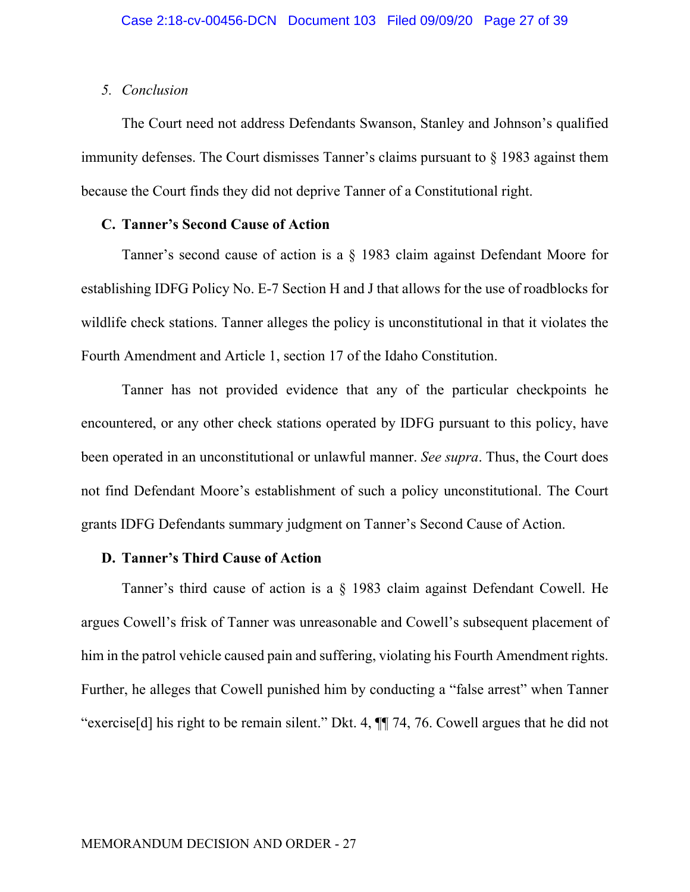## *5. Conclusion*

The Court need not address Defendants Swanson, Stanley and Johnson's qualified immunity defenses. The Court dismisses Tanner's claims pursuant to § 1983 against them because the Court finds they did not deprive Tanner of a Constitutional right.

# **C. Tanner's Second Cause of Action**

Tanner's second cause of action is a § 1983 claim against Defendant Moore for establishing IDFG Policy No. E-7 Section H and J that allows for the use of roadblocks for wildlife check stations. Tanner alleges the policy is unconstitutional in that it violates the Fourth Amendment and Article 1, section 17 of the Idaho Constitution.

Tanner has not provided evidence that any of the particular checkpoints he encountered, or any other check stations operated by IDFG pursuant to this policy, have been operated in an unconstitutional or unlawful manner. *See supra*. Thus, the Court does not find Defendant Moore's establishment of such a policy unconstitutional. The Court grants IDFG Defendants summary judgment on Tanner's Second Cause of Action.

## **D. Tanner's Third Cause of Action**

Tanner's third cause of action is a § 1983 claim against Defendant Cowell. He argues Cowell's frisk of Tanner was unreasonable and Cowell's subsequent placement of him in the patrol vehicle caused pain and suffering, violating his Fourth Amendment rights. Further, he alleges that Cowell punished him by conducting a "false arrest" when Tanner "exercise[d] his right to be remain silent." Dkt. 4, ¶¶ 74, 76. Cowell argues that he did not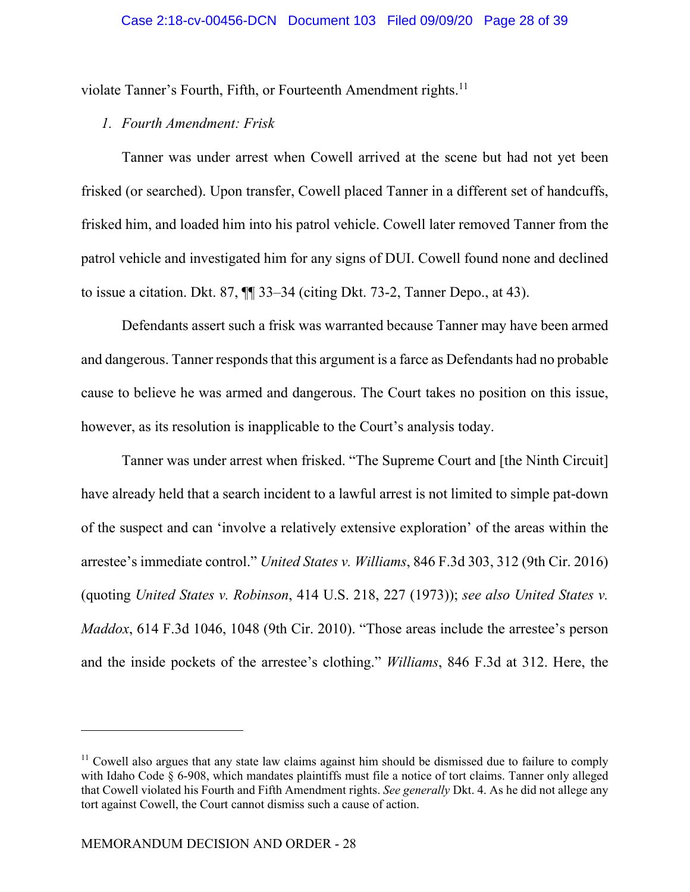violate Tanner's Fourth, Fifth, or Fourteenth Amendment rights.<sup>11</sup>

# *1. Fourth Amendment: Frisk*

Tanner was under arrest when Cowell arrived at the scene but had not yet been frisked (or searched). Upon transfer, Cowell placed Tanner in a different set of handcuffs, frisked him, and loaded him into his patrol vehicle. Cowell later removed Tanner from the patrol vehicle and investigated him for any signs of DUI. Cowell found none and declined to issue a citation. Dkt. 87, ¶¶ 33–34 (citing Dkt. 73-2, Tanner Depo., at 43).

Defendants assert such a frisk was warranted because Tanner may have been armed and dangerous. Tanner responds that this argument is a farce as Defendants had no probable cause to believe he was armed and dangerous. The Court takes no position on this issue, however, as its resolution is inapplicable to the Court's analysis today.

Tanner was under arrest when frisked. "The Supreme Court and [the Ninth Circuit] have already held that a search incident to a lawful arrest is not limited to simple pat-down of the suspect and can 'involve a relatively extensive exploration' of the areas within the arrestee's immediate control." *United States v. Williams*, 846 F.3d 303, 312 (9th Cir. 2016) (quoting *United States v. Robinson*, 414 U.S. 218, 227 (1973)); *see also United States v. Maddox*, 614 F.3d 1046, 1048 (9th Cir. 2010). "Those areas include the arrestee's person and the inside pockets of the arrestee's clothing." *Williams*, 846 F.3d at 312. Here, the

 $<sup>11</sup>$  Cowell also argues that any state law claims against him should be dismissed due to failure to comply</sup> with Idaho Code § 6-908, which mandates plaintiffs must file a notice of tort claims. Tanner only alleged that Cowell violated his Fourth and Fifth Amendment rights. *See generally* Dkt. 4. As he did not allege any tort against Cowell, the Court cannot dismiss such a cause of action.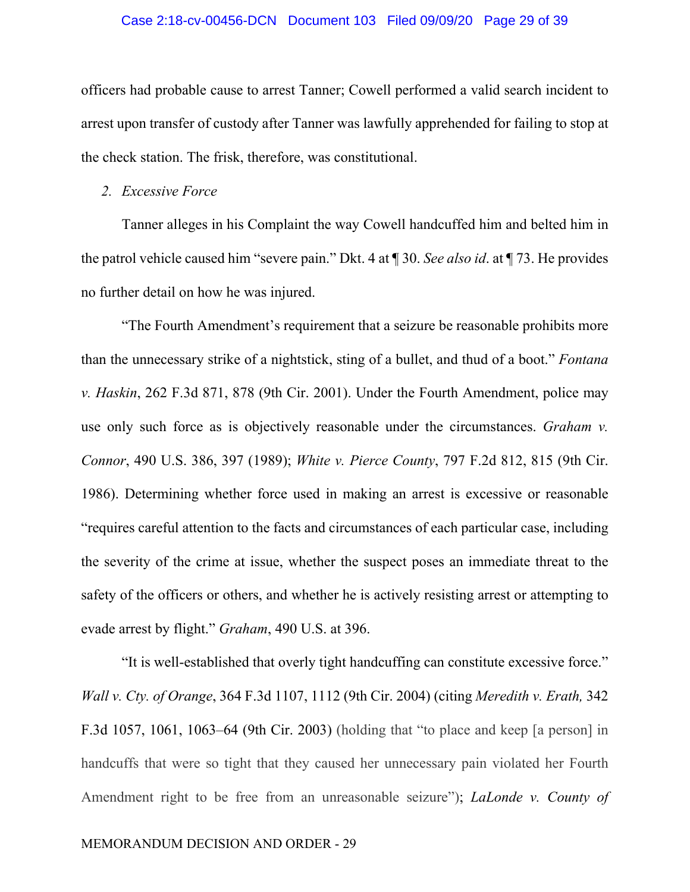#### Case 2:18-cv-00456-DCN Document 103 Filed 09/09/20 Page 29 of 39

officers had probable cause to arrest Tanner; Cowell performed a valid search incident to arrest upon transfer of custody after Tanner was lawfully apprehended for failing to stop at the check station. The frisk, therefore, was constitutional.

## *2. Excessive Force*

Tanner alleges in his Complaint the way Cowell handcuffed him and belted him in the patrol vehicle caused him "severe pain." Dkt. 4 at ¶ 30. *See also id*. at ¶ 73. He provides no further detail on how he was injured.

"The Fourth Amendment's requirement that a seizure be reasonable prohibits more than the unnecessary strike of a nightstick, sting of a bullet, and thud of a boot." *Fontana v. Haskin*, 262 F.3d 871, 878 (9th Cir. 2001). Under the Fourth Amendment, police may use only such force as is objectively reasonable under the circumstances. *Graham v. Connor*, 490 U.S. 386, 397 (1989); *White v. Pierce County*, 797 F.2d 812, 815 (9th Cir. 1986). Determining whether force used in making an arrest is excessive or reasonable "requires careful attention to the facts and circumstances of each particular case, including the severity of the crime at issue, whether the suspect poses an immediate threat to the safety of the officers or others, and whether he is actively resisting arrest or attempting to evade arrest by flight." *Graham*, 490 U.S. at 396.

"It is well-established that overly tight handcuffing can constitute excessive force." *Wall v. Cty. of Orange*, 364 F.3d 1107, 1112 (9th Cir. 2004) (citing *Meredith v. Erath,* 342 F.3d 1057, 1061, 1063–64 (9th Cir. 2003) (holding that "to place and keep [a person] in handcuffs that were so tight that they caused her unnecessary pain violated her Fourth Amendment right to be free from an unreasonable seizure"); *LaLonde v. County of*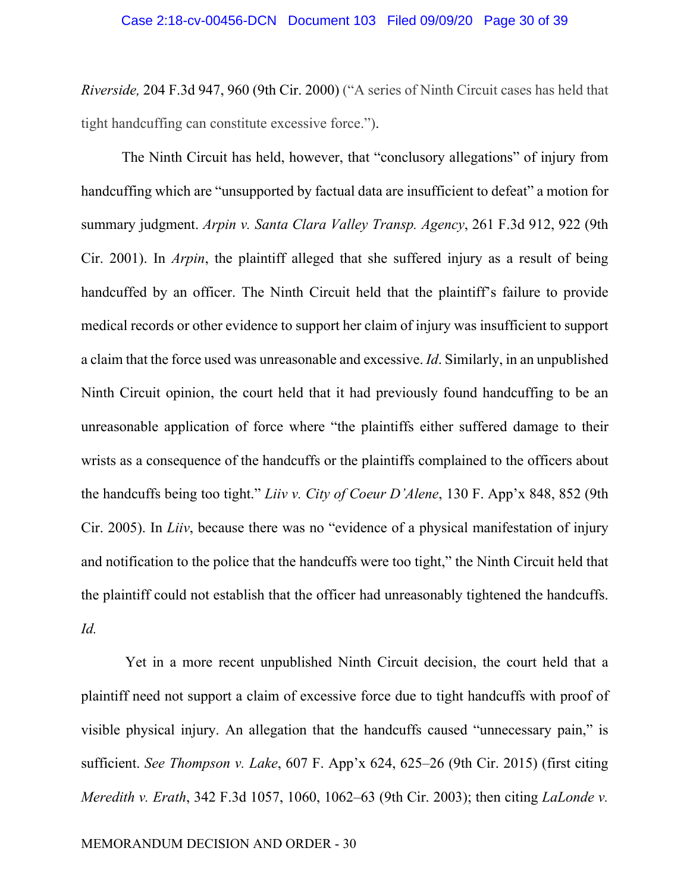*Riverside,* 204 F.3d 947, 960 (9th Cir. 2000) ("A series of Ninth Circuit cases has held that tight handcuffing can constitute excessive force.").

The Ninth Circuit has held, however, that "conclusory allegations" of injury from handcuffing which are "unsupported by factual data are insufficient to defeat" a motion for summary judgment. *Arpin v. Santa Clara Valley Transp. Agency*, 261 F.3d 912, 922 (9th Cir. 2001). In *Arpin*, the plaintiff alleged that she suffered injury as a result of being handcuffed by an officer. The Ninth Circuit held that the plaintiff's failure to provide medical records or other evidence to support her claim of injury was insufficient to support a claim that the force used was unreasonable and excessive. *Id*. Similarly, in an unpublished Ninth Circuit opinion, the court held that it had previously found handcuffing to be an unreasonable application of force where "the plaintiffs either suffered damage to their wrists as a consequence of the handcuffs or the plaintiffs complained to the officers about the handcuffs being too tight." *Liiv v. City of Coeur D'Alene*, 130 F. App'x 848, 852 (9th Cir. 2005). In *Liiv*, because there was no "evidence of a physical manifestation of injury and notification to the police that the handcuffs were too tight," the Ninth Circuit held that the plaintiff could not establish that the officer had unreasonably tightened the handcuffs. *Id.* 

 Yet in a more recent unpublished Ninth Circuit decision, the court held that a plaintiff need not support a claim of excessive force due to tight handcuffs with proof of visible physical injury. An allegation that the handcuffs caused "unnecessary pain," is sufficient. *See Thompson v. Lake*, 607 F. App'x 624, 625–26 (9th Cir. 2015) (first citing *Meredith v. Erath*, 342 F.3d 1057, 1060, 1062–63 (9th Cir. 2003); then citing *LaLonde v.*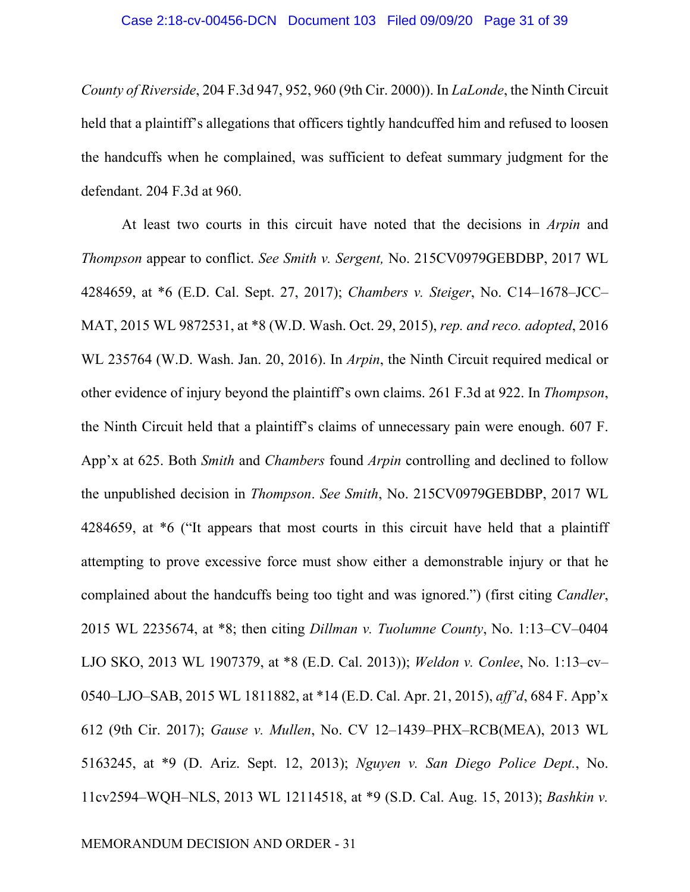*County of Riverside*, 204 F.3d 947, 952, 960 (9th Cir. 2000)). In *LaLonde*, the Ninth Circuit held that a plaintiff's allegations that officers tightly handcuffed him and refused to loosen the handcuffs when he complained, was sufficient to defeat summary judgment for the defendant. 204 F.3d at 960.

At least two courts in this circuit have noted that the decisions in *Arpin* and *Thompson* appear to conflict. *See Smith v. Sergent,* No. 215CV0979GEBDBP, 2017 WL 4284659, at \*6 (E.D. Cal. Sept. 27, 2017); *Chambers v. Steiger*, No. C14–1678–JCC– MAT, 2015 WL 9872531, at \*8 (W.D. Wash. Oct. 29, 2015), *rep. and reco. adopted*, 2016 WL 235764 (W.D. Wash. Jan. 20, 2016). In *Arpin*, the Ninth Circuit required medical or other evidence of injury beyond the plaintiff's own claims. 261 F.3d at 922. In *Thompson*, the Ninth Circuit held that a plaintiff's claims of unnecessary pain were enough. 607 F. App'x at 625. Both *Smith* and *Chambers* found *Arpin* controlling and declined to follow the unpublished decision in *Thompson*. *See Smith*, No. 215CV0979GEBDBP, 2017 WL 4284659, at \*6 ("It appears that most courts in this circuit have held that a plaintiff attempting to prove excessive force must show either a demonstrable injury or that he complained about the handcuffs being too tight and was ignored.") (first citing *Candler*, 2015 WL 2235674, at \*8; then citing *Dillman v. Tuolumne County*, No. 1:13–CV–0404 LJO SKO, 2013 WL 1907379, at \*8 (E.D. Cal. 2013)); *Weldon v. Conlee*, No. 1:13–cv– 0540–LJO–SAB, 2015 WL 1811882, at \*14 (E.D. Cal. Apr. 21, 2015), *aff'd*, 684 F. App'x 612 (9th Cir. 2017); *Gause v. Mullen*, No. CV 12–1439–PHX–RCB(MEA), 2013 WL 5163245, at \*9 (D. Ariz. Sept. 12, 2013); *Nguyen v. San Diego Police Dept.*, No. 11cv2594–WQH–NLS, 2013 WL 12114518, at \*9 (S.D. Cal. Aug. 15, 2013); *Bashkin v.*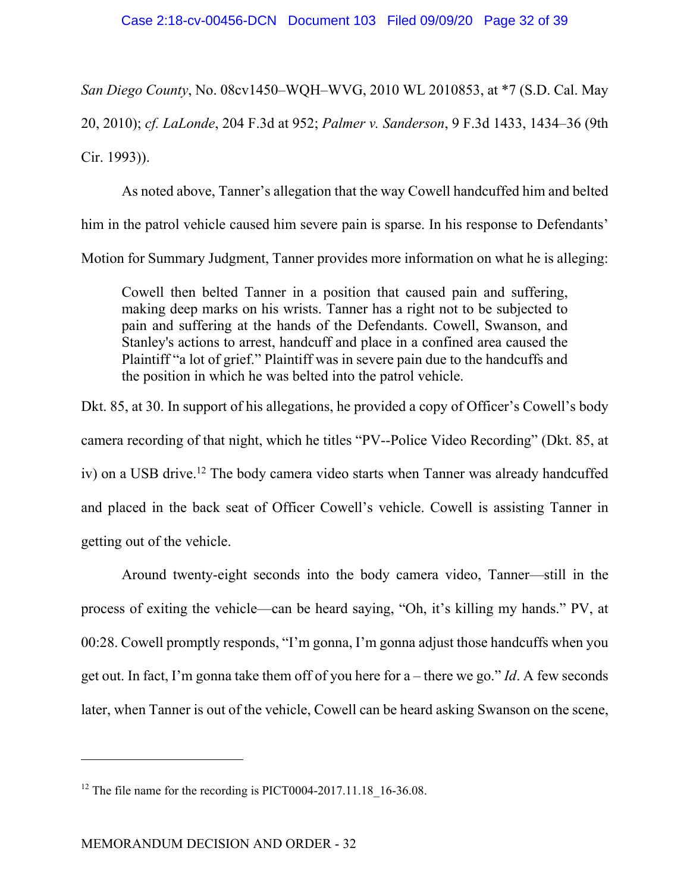*San Diego County*, No. 08cv1450–WQH–WVG, 2010 WL 2010853, at \*7 (S.D. Cal. May 20, 2010); *cf. LaLonde*, 204 F.3d at 952; *Palmer v. Sanderson*, 9 F.3d 1433, 1434–36 (9th Cir. 1993)).

As noted above, Tanner's allegation that the way Cowell handcuffed him and belted him in the patrol vehicle caused him severe pain is sparse. In his response to Defendants' Motion for Summary Judgment, Tanner provides more information on what he is alleging:

Cowell then belted Tanner in a position that caused pain and suffering, making deep marks on his wrists. Tanner has a right not to be subjected to pain and suffering at the hands of the Defendants. Cowell, Swanson, and Stanley's actions to arrest, handcuff and place in a confined area caused the Plaintiff "a lot of grief." Plaintiff was in severe pain due to the handcuffs and the position in which he was belted into the patrol vehicle.

Dkt. 85, at 30. In support of his allegations, he provided a copy of Officer's Cowell's body camera recording of that night, which he titles "PV--Police Video Recording" (Dkt. 85, at iv) on a USB drive.<sup>12</sup> The body camera video starts when Tanner was already handcuffed and placed in the back seat of Officer Cowell's vehicle. Cowell is assisting Tanner in getting out of the vehicle.

Around twenty-eight seconds into the body camera video, Tanner—still in the process of exiting the vehicle—can be heard saying, "Oh, it's killing my hands." PV, at 00:28. Cowell promptly responds, "I'm gonna, I'm gonna adjust those handcuffs when you get out. In fact, I'm gonna take them off of you here for a – there we go." *Id*. A few seconds later, when Tanner is out of the vehicle, Cowell can be heard asking Swanson on the scene,

<sup>&</sup>lt;sup>12</sup> The file name for the recording is PICT0004-2017.11.18  $16-36.08$ .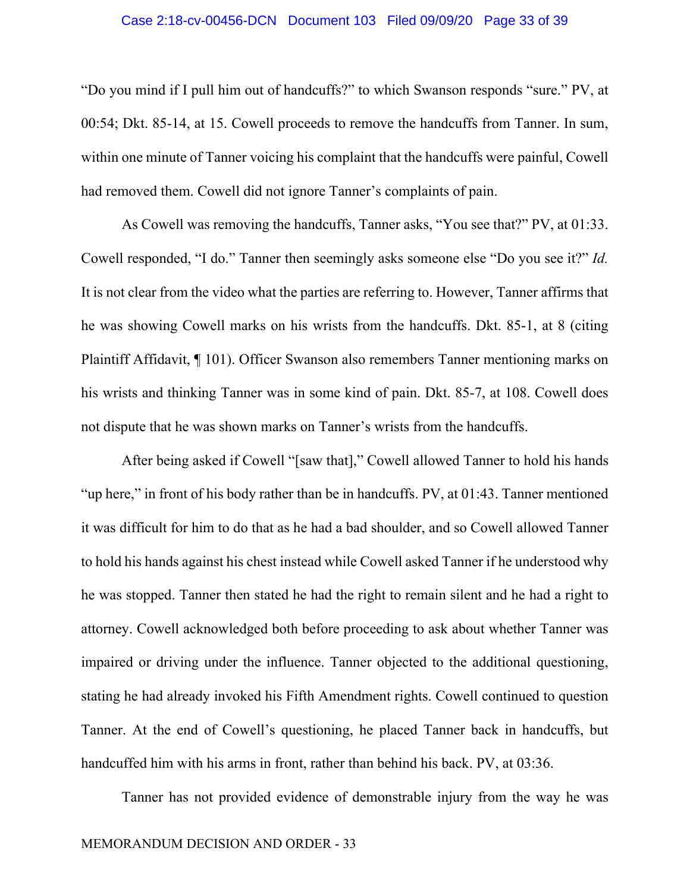#### Case 2:18-cv-00456-DCN Document 103 Filed 09/09/20 Page 33 of 39

"Do you mind if I pull him out of handcuffs?" to which Swanson responds "sure." PV, at 00:54; Dkt. 85-14, at 15. Cowell proceeds to remove the handcuffs from Tanner. In sum, within one minute of Tanner voicing his complaint that the handcuffs were painful, Cowell had removed them. Cowell did not ignore Tanner's complaints of pain.

As Cowell was removing the handcuffs, Tanner asks, "You see that?" PV, at 01:33. Cowell responded, "I do." Tanner then seemingly asks someone else "Do you see it?" *Id.*  It is not clear from the video what the parties are referring to. However, Tanner affirms that he was showing Cowell marks on his wrists from the handcuffs. Dkt. 85-1, at 8 (citing Plaintiff Affidavit, ¶ 101). Officer Swanson also remembers Tanner mentioning marks on his wrists and thinking Tanner was in some kind of pain. Dkt. 85-7, at 108. Cowell does not dispute that he was shown marks on Tanner's wrists from the handcuffs.

After being asked if Cowell "[saw that]," Cowell allowed Tanner to hold his hands "up here," in front of his body rather than be in handcuffs. PV, at 01:43. Tanner mentioned it was difficult for him to do that as he had a bad shoulder, and so Cowell allowed Tanner to hold his hands against his chest instead while Cowell asked Tanner if he understood why he was stopped. Tanner then stated he had the right to remain silent and he had a right to attorney. Cowell acknowledged both before proceeding to ask about whether Tanner was impaired or driving under the influence. Tanner objected to the additional questioning, stating he had already invoked his Fifth Amendment rights. Cowell continued to question Tanner. At the end of Cowell's questioning, he placed Tanner back in handcuffs, but handcuffed him with his arms in front, rather than behind his back. PV, at 03:36.

Tanner has not provided evidence of demonstrable injury from the way he was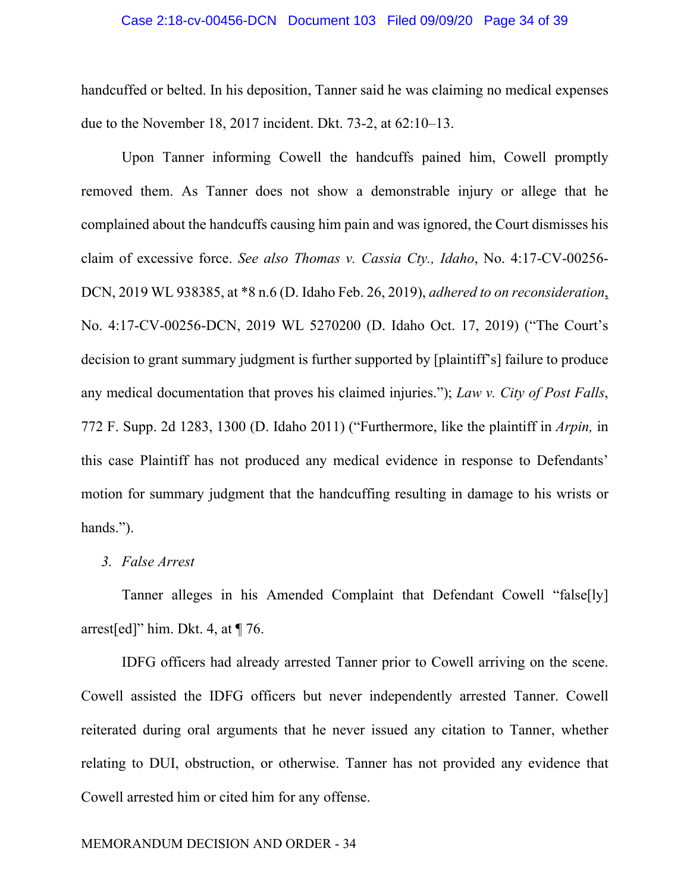#### Case 2:18-cv-00456-DCN Document 103 Filed 09/09/20 Page 34 of 39

handcuffed or belted. In his deposition, Tanner said he was claiming no medical expenses due to the November 18, 2017 incident. Dkt. 73-2, at 62:10–13.

Upon Tanner informing Cowell the handcuffs pained him, Cowell promptly removed them. As Tanner does not show a demonstrable injury or allege that he complained about the handcuffs causing him pain and was ignored, the Court dismisses his claim of excessive force. *See also Thomas v. Cassia Cty., Idaho*, No. 4:17-CV-00256- DCN, 2019 WL 938385, at \*8 n.6 (D. Idaho Feb. 26, 2019), *adhered to on reconsideration*, No. 4:17-CV-00256-DCN, 2019 WL 5270200 (D. Idaho Oct. 17, 2019) ("The Court's decision to grant summary judgment is further supported by [plaintiff's] failure to produce any medical documentation that proves his claimed injuries."); *Law v. City of Post Falls*, 772 F. Supp. 2d 1283, 1300 (D. Idaho 2011) ("Furthermore, like the plaintiff in *Arpin,* in this case Plaintiff has not produced any medical evidence in response to Defendants' motion for summary judgment that the handcuffing resulting in damage to his wrists or hands.").

## *3. False Arrest*

Tanner alleges in his Amended Complaint that Defendant Cowell "false[ly] arrest[ed]" him. Dkt. 4, at  $\P$  76.

IDFG officers had already arrested Tanner prior to Cowell arriving on the scene. Cowell assisted the IDFG officers but never independently arrested Tanner. Cowell reiterated during oral arguments that he never issued any citation to Tanner, whether relating to DUI, obstruction, or otherwise. Tanner has not provided any evidence that Cowell arrested him or cited him for any offense.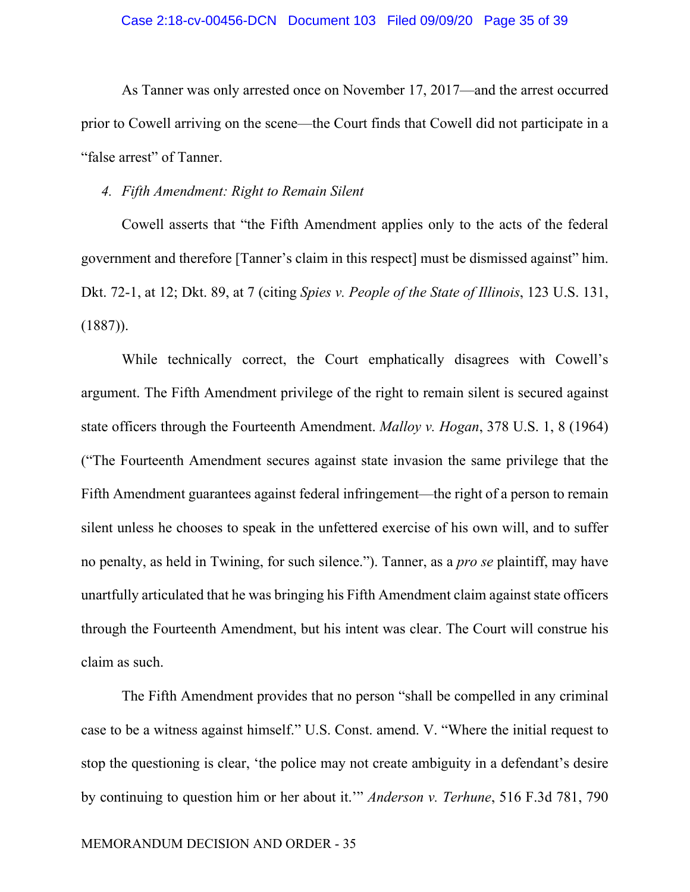As Tanner was only arrested once on November 17, 2017—and the arrest occurred prior to Cowell arriving on the scene—the Court finds that Cowell did not participate in a "false arrest" of Tanner.

*4. Fifth Amendment: Right to Remain Silent* 

Cowell asserts that "the Fifth Amendment applies only to the acts of the federal government and therefore [Tanner's claim in this respect] must be dismissed against" him. Dkt. 72-1, at 12; Dkt. 89, at 7 (citing *Spies v. People of the State of Illinois*, 123 U.S. 131, (1887)).

While technically correct, the Court emphatically disagrees with Cowell's argument. The Fifth Amendment privilege of the right to remain silent is secured against state officers through the Fourteenth Amendment. *Malloy v. Hogan*, 378 U.S. 1, 8 (1964) ("The Fourteenth Amendment secures against state invasion the same privilege that the Fifth Amendment guarantees against federal infringement—the right of a person to remain silent unless he chooses to speak in the unfettered exercise of his own will, and to suffer no penalty, as held in Twining, for such silence."). Tanner, as a *pro se* plaintiff, may have unartfully articulated that he was bringing his Fifth Amendment claim against state officers through the Fourteenth Amendment, but his intent was clear. The Court will construe his claim as such.

The Fifth Amendment provides that no person "shall be compelled in any criminal case to be a witness against himself." U.S. Const. amend. V. "Where the initial request to stop the questioning is clear, 'the police may not create ambiguity in a defendant's desire by continuing to question him or her about it.'" *Anderson v. Terhune*, 516 F.3d 781, 790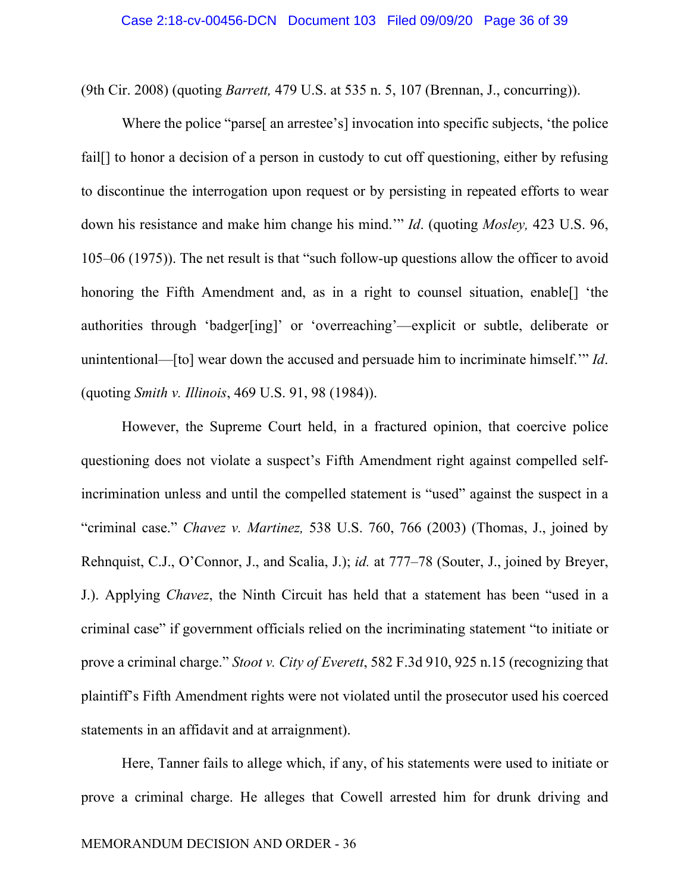(9th Cir. 2008) (quoting *Barrett,* 479 U.S. at 535 n. 5, 107 (Brennan, J., concurring)).

Where the police "parse<sup>[</sup> an arrestee's<sup>[</sup>] invocation into specific subjects, 'the police fail. If to honor a decision of a person in custody to cut off questioning, either by refusing to discontinue the interrogation upon request or by persisting in repeated efforts to wear down his resistance and make him change his mind.'" *Id*. (quoting *Mosley,* 423 U.S. 96, 105–06 (1975)). The net result is that "such follow-up questions allow the officer to avoid honoring the Fifth Amendment and, as in a right to counsel situation, enable[] 'the authorities through 'badger[ing]' or 'overreaching'—explicit or subtle, deliberate or unintentional—[to] wear down the accused and persuade him to incriminate himself.'" *Id*. (quoting *Smith v. Illinois*, 469 U.S. 91, 98 (1984)).

However, the Supreme Court held, in a fractured opinion, that coercive police questioning does not violate a suspect's Fifth Amendment right against compelled selfincrimination unless and until the compelled statement is "used" against the suspect in a "criminal case." *Chavez v. Martinez,* 538 U.S. 760, 766 (2003) (Thomas, J., joined by Rehnquist, C.J., O'Connor, J., and Scalia, J.); *id.* at 777–78 (Souter, J., joined by Breyer, J.). Applying *Chavez*, the Ninth Circuit has held that a statement has been "used in a criminal case" if government officials relied on the incriminating statement "to initiate or prove a criminal charge." *Stoot v. City of Everett*, 582 F.3d 910, 925 n.15 (recognizing that plaintiff's Fifth Amendment rights were not violated until the prosecutor used his coerced statements in an affidavit and at arraignment).

Here, Tanner fails to allege which, if any, of his statements were used to initiate or prove a criminal charge. He alleges that Cowell arrested him for drunk driving and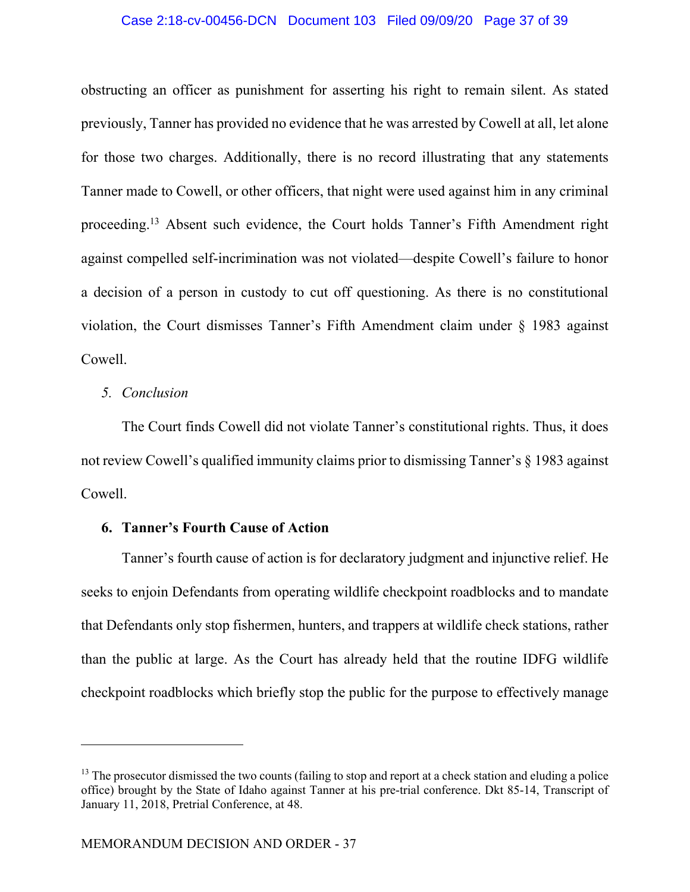## Case 2:18-cv-00456-DCN Document 103 Filed 09/09/20 Page 37 of 39

obstructing an officer as punishment for asserting his right to remain silent. As stated previously, Tanner has provided no evidence that he was arrested by Cowell at all, let alone for those two charges. Additionally, there is no record illustrating that any statements Tanner made to Cowell, or other officers, that night were used against him in any criminal proceeding.<sup>13</sup> Absent such evidence, the Court holds Tanner's Fifth Amendment right against compelled self-incrimination was not violated—despite Cowell's failure to honor a decision of a person in custody to cut off questioning. As there is no constitutional violation, the Court dismisses Tanner's Fifth Amendment claim under § 1983 against Cowell.

## *5. Conclusion*

The Court finds Cowell did not violate Tanner's constitutional rights. Thus, it does not review Cowell's qualified immunity claims prior to dismissing Tanner's § 1983 against Cowell.

# **6. Tanner's Fourth Cause of Action**

Tanner's fourth cause of action is for declaratory judgment and injunctive relief. He seeks to enjoin Defendants from operating wildlife checkpoint roadblocks and to mandate that Defendants only stop fishermen, hunters, and trappers at wildlife check stations, rather than the public at large. As the Court has already held that the routine IDFG wildlife checkpoint roadblocks which briefly stop the public for the purpose to effectively manage

 $13$  The prosecutor dismissed the two counts (failing to stop and report at a check station and eluding a police office) brought by the State of Idaho against Tanner at his pre-trial conference. Dkt 85-14, Transcript of January 11, 2018, Pretrial Conference, at 48.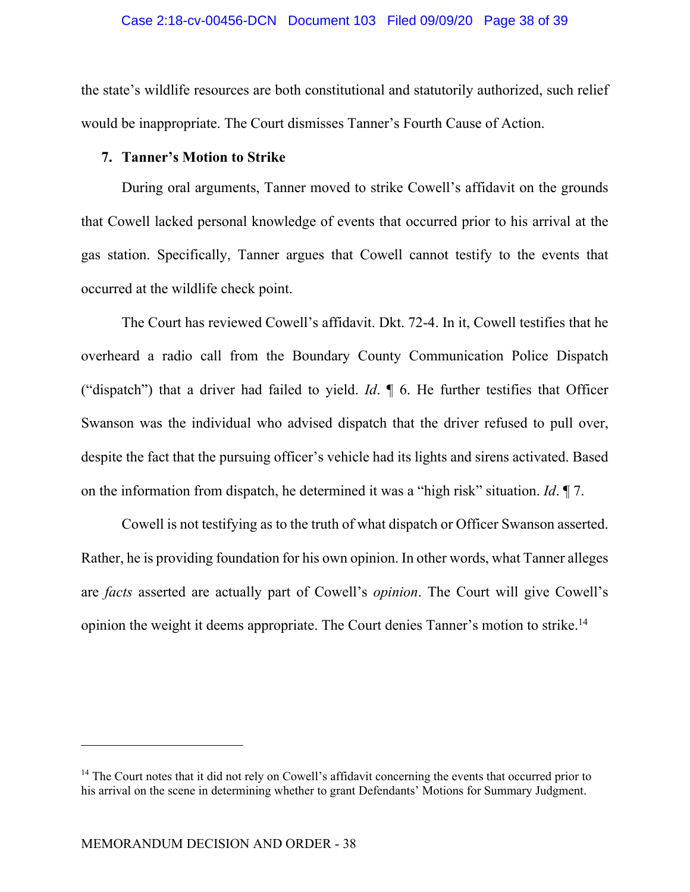the state's wildlife resources are both constitutional and statutorily authorized, such relief would be inappropriate. The Court dismisses Tanner's Fourth Cause of Action.

# **7. Tanner's Motion to Strike**

During oral arguments, Tanner moved to strike Cowell's affidavit on the grounds that Cowell lacked personal knowledge of events that occurred prior to his arrival at the gas station. Specifically, Tanner argues that Cowell cannot testify to the events that occurred at the wildlife check point.

The Court has reviewed Cowell's affidavit. Dkt. 72-4. In it, Cowell testifies that he overheard a radio call from the Boundary County Communication Police Dispatch ("dispatch") that a driver had failed to yield. *Id*. ¶ 6. He further testifies that Officer Swanson was the individual who advised dispatch that the driver refused to pull over, despite the fact that the pursuing officer's vehicle had its lights and sirens activated. Based on the information from dispatch, he determined it was a "high risk" situation. *Id*. ¶ 7.

Cowell is not testifying as to the truth of what dispatch or Officer Swanson asserted. Rather, he is providing foundation for his own opinion. In other words, what Tanner alleges are *facts* asserted are actually part of Cowell's *opinion*. The Court will give Cowell's opinion the weight it deems appropriate. The Court denies Tanner's motion to strike.<sup>14</sup>

 $14$  The Court notes that it did not rely on Cowell's affidavit concerning the events that occurred prior to his arrival on the scene in determining whether to grant Defendants' Motions for Summary Judgment.